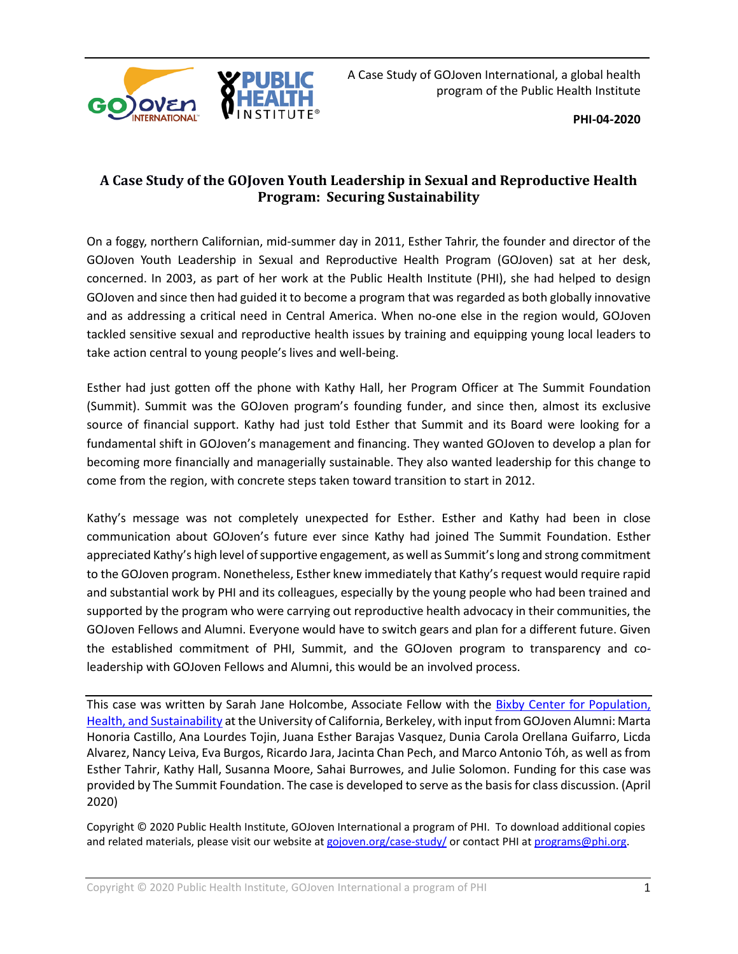

**PHI-04-2020**

# **A Case Study of the GOJoven Youth Leadership in Sexual and Reproductive Health Program: Securing Sustainability**

On a foggy, northern Californian, mid-summer day in 2011, Esther Tahrir, the founder and director of the GOJoven Youth Leadership in Sexual and Reproductive Health Program (GOJoven) sat at her desk, concerned. In 2003, as part of her work at the Public Health Institute (PHI), she had helped to design GOJoven and since then had guided it to become a program that was regarded as both globally innovative and as addressing a critical need in Central America. When no-one else in the region would, GOJoven tackled sensitive sexual and reproductive health issues by training and equipping young local leaders to take action central to young people's lives and well-being.

Esther had just gotten off the phone with Kathy Hall, her Program Officer at The Summit Foundation (Summit). Summit was the GOJoven program's founding funder, and since then, almost its exclusive source of financial support. Kathy had just told Esther that Summit and its Board were looking for a fundamental shift in GOJoven's management and financing. They wanted GOJoven to develop a plan for becoming more financially and managerially sustainable. They also wanted leadership for this change to come from the region, with concrete steps taken toward transition to start in 2012.

Kathy's message was not completely unexpected for Esther. Esther and Kathy had been in close communication about GOJoven's future ever since Kathy had joined The Summit Foundation. Esther appreciated Kathy's high level of supportive engagement, as well as Summit'slong and strong commitment to the GOJoven program. Nonetheless, Esther knew immediately that Kathy's request would require rapid and substantial work by PHI and its colleagues, especially by the young people who had been trained and supported by the program who were carrying out reproductive health advocacy in their communities, the GOJoven Fellows and Alumni. Everyone would have to switch gears and plan for a different future. Given the established commitment of PHI, Summit, and the GOJoven program to transparency and coleadership with GOJoven Fellows and Alumni, this would be an involved process.

This case was written by Sarah Jane Holcombe, Associate Fellow with the [Bixby Center for Population,](https://bixby.berkeley.edu/)  [Health, and Sustainability](https://bixby.berkeley.edu/) at the University of California, Berkeley, with input from GOJoven Alumni: Marta Honoria Castillo, Ana Lourdes Tojin, Juana Esther Barajas Vasquez, Dunia Carola Orellana Guifarro, Licda Alvarez, Nancy Leiva, Eva Burgos, Ricardo Jara, Jacinta Chan Pech, and Marco Antonio Tóh, as well as from Esther Tahrir, Kathy Hall, Susanna Moore, Sahai Burrowes, and Julie Solomon. Funding for this case was provided by The Summit Foundation. The case is developed to serve as the basis for class discussion. (April 2020)

Copyright © 2020 Public Health Institute, GOJoven International a program of PHI. To download additional copies and related materials, please visit our website at [gojoven.org/case-study/](https://gojoven.org/case-study/) or contact PHI a[t programs@phi.org.](mailto:programs@phi.org)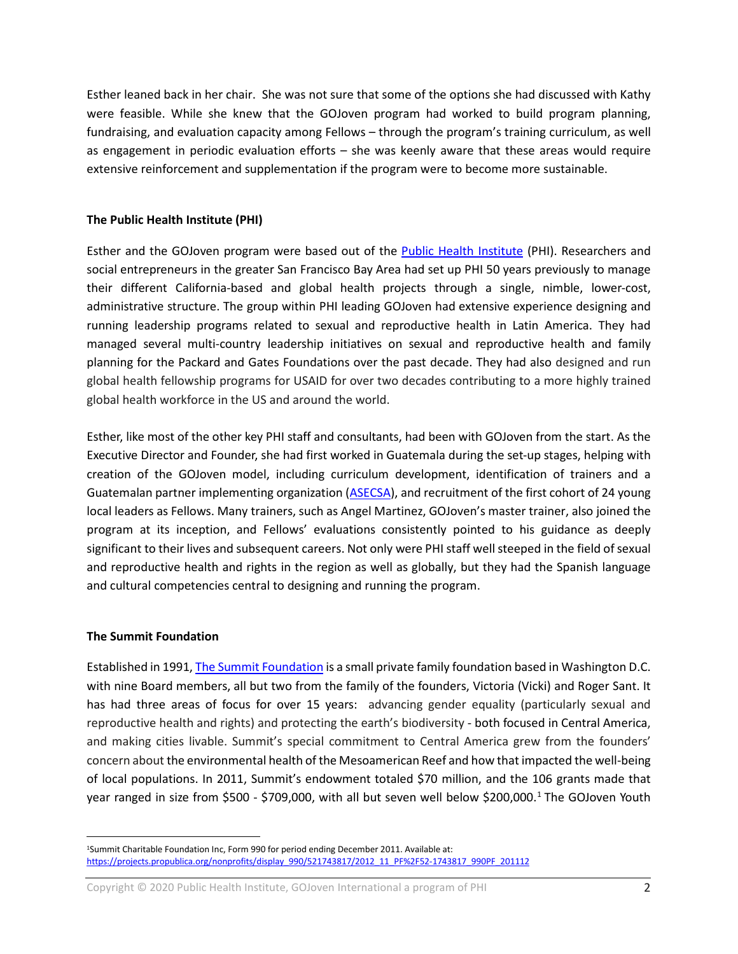Esther leaned back in her chair. She was not sure that some of the options she had discussed with Kathy were feasible. While she knew that the GOJoven program had worked to build program planning, fundraising, and evaluation capacity among Fellows – through the program's training curriculum, as well as engagement in periodic evaluation efforts – she was keenly aware that these areas would require extensive reinforcement and supplementation if the program were to become more sustainable.

### **The Public Health Institute (PHI)**

Esther and the GOJoven program were based out of the [Public Health Institute](http://www.phi.org/about-phi/) (PHI). Researchers and social entrepreneurs in the greater San Francisco Bay Area had set up PHI 50 years previously to manage their different California-based and global health projects through a single, nimble, lower-cost, administrative structure. The group within PHI leading GOJoven had extensive experience designing and running leadership programs related to sexual and reproductive health in Latin America. They had managed several multi-country leadership initiatives on sexual and reproductive health and family planning for the Packard and Gates Foundations over the past decade. They had also designed and run global health fellowship programs for USAID for over two decades contributing to a more highly trained global health workforce in the US and around the world.

Esther, like most of the other key PHI staff and consultants, had been with GOJoven from the start. As the Executive Director and Founder, she had first worked in Guatemala during the set-up stages, helping with creation of the GOJoven model, including curriculum development, identification of trainers and a Guatemalan partner implementing organization [\(ASECSA\)](https://asecsaguatemala.org/2018/), and recruitment of the first cohort of 24 young local leaders as Fellows. Many trainers, such as Angel Martinez, GOJoven's master trainer, also joined the program at its inception, and Fellows' evaluations consistently pointed to his guidance as deeply significant to their lives and subsequent careers. Not only were PHI staff well steeped in the field of sexual and reproductive health and rights in the region as well as globally, but they had the Spanish language and cultural competencies central to designing and running the program.

#### **The Summit Foundation**

 $\overline{a}$ 

Established in 1991[, The Summit Foundation](https://www.summitfdn.org/about/#prefix-values) is a small private family foundation based in Washington D.C. with nine Board members, all but two from the family of the founders, Victoria (Vicki) and Roger Sant. It has had three areas of focus for over 15 years: advancing gender equality (particularly sexual and reproductive health and rights) and protecting the earth's biodiversity - both focused in Central America, and making cities livable. Summit's special commitment to Central America grew from the founders' concern about the environmental health of the Mesoamerican Reef and how that impacted the well-being of local populations. In 2011, Summit's endowment totaled \$70 million, and the 106 grants made that year ranged in size from \$500 - \$709,000, with all but seven well below \$200,000.<sup>[1](#page-1-0)</sup> The GOJoven Youth

Copyright © 2020 Public Health Institute, GOJoven International a program of PHI 2

<span id="page-1-0"></span><sup>1</sup>Summit Charitable Foundation Inc, Form 990 for period ending December 2011. Available at: [https://projects.propublica.org/nonprofits/display\\_990/521743817/2012\\_11\\_PF%2F52-1743817\\_990PF\\_201112](https://projects.propublica.org/nonprofits/display_990/521743817/2012_11_PF%2F52-1743817_990PF_201112)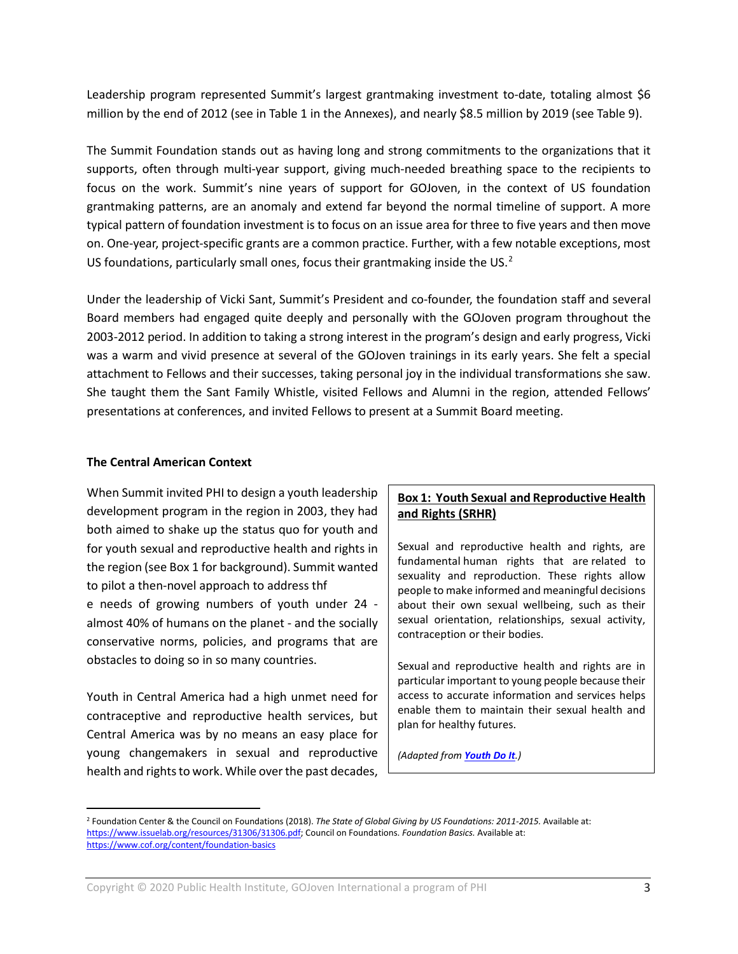Leadership program represented Summit's largest grantmaking investment to-date, totaling almost \$6 million by the end of 2012 (see in Table 1 in the Annexes), and nearly \$8.5 million by 2019 (see Table 9).

The Summit Foundation stands out as having long and strong commitments to the organizations that it supports, often through multi-year support, giving much-needed breathing space to the recipients to focus on the work. Summit's nine years of support for GOJoven, in the context of US foundation grantmaking patterns, are an anomaly and extend far beyond the normal timeline of support. A more typical pattern of foundation investment is to focus on an issue area for three to five years and then move on. One-year, project-specific grants are a common practice. Further, with a few notable exceptions, most US foundations, particularly small ones, focus their grantmaking inside the US. $<sup>2</sup>$  $<sup>2</sup>$  $<sup>2</sup>$ </sup>

Under the leadership of Vicki Sant, Summit's President and co-founder, the foundation staff and several Board members had engaged quite deeply and personally with the GOJoven program throughout the 2003-2012 period. In addition to taking a strong interest in the program's design and early progress, Vicki was a warm and vivid presence at several of the GOJoven trainings in its early years. She felt a special attachment to Fellows and their successes, taking personal joy in the individual transformations she saw. She taught them the Sant Family Whistle, visited Fellows and Alumni in the region, attended Fellows' presentations at conferences, and invited Fellows to present at a Summit Board meeting.

#### **The Central American Context**

 $\overline{a}$ 

When Summit invited PHI to design a youth leadership development program in the region in 2003, they had both aimed to shake up the status quo for youth and for youth sexual and reproductive health and rights in the region (see Box 1 for background). Summit wanted to pilot a then-novel approach to address thf e needs of growing numbers of youth under 24 almost 40% of humans on the planet - and the socially conservative norms, policies, and programs that are obstacles to doing so in so many countries.

Youth in Central America had a high unmet need for contraceptive and reproductive health services, but Central America was by no means an easy place for young changemakers in sexual and reproductive health and rights to work. While over the past decades,

## **Box 1: Youth Sexual and Reproductive Health and Rights (SRHR)**

Sexual and reproductive health and rights, are fundamental human rights that are related to sexuality and reproduction. These rights allow people to make informed and meaningful decisions about their own sexual wellbeing, such as their sexual orientation, relationships, sexual activity, contraception or their bodies.

Sexual and reproductive health and rights are in particular important to young people because their access to accurate information and services helps enable them to maintain their sexual health and plan for healthy futures.

*(Adapted from [Youth Do It](https://www.youthdoit.org/themes/sexual-and-reproductive-healthand-rights-are-human-rights/).)*

<span id="page-2-0"></span><sup>2</sup> Foundation Center & the Council on Foundations (2018). *The State of Global Giving by US Foundations: 2011-2015.* Available at: [https://www.issuelab.org/resources/31306/31306.pdf;](https://www.issuelab.org/resources/31306/31306.pdf) Council on Foundations. *Foundation Basics.* Available at: <https://www.cof.org/content/foundation-basics>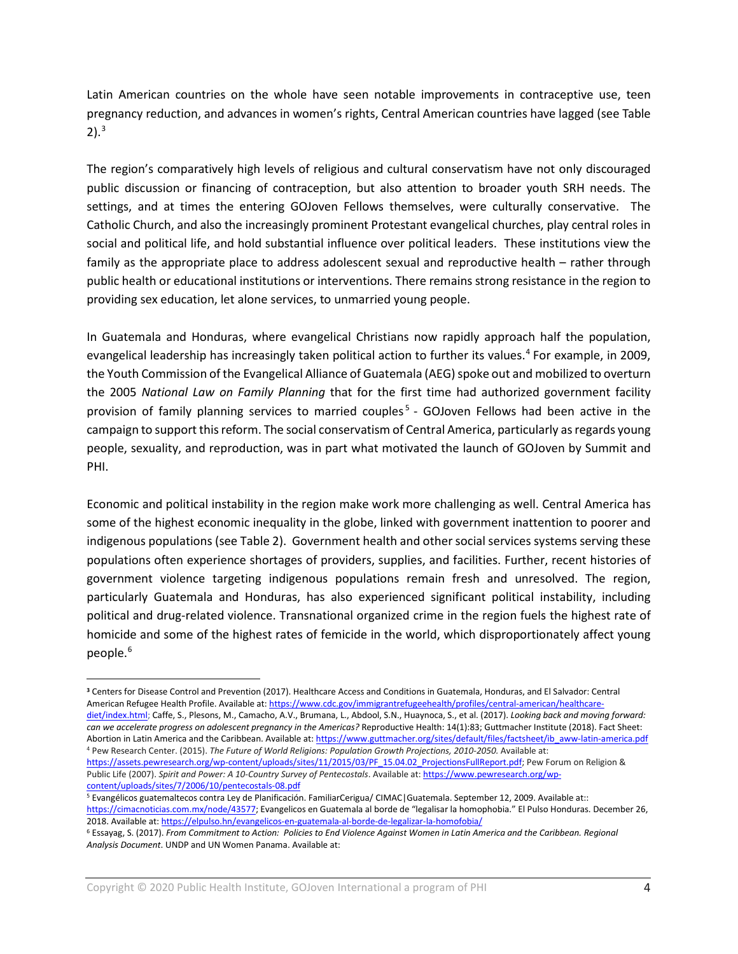Latin American countries on the whole have seen notable improvements in contraceptive use, teen pregnancy reduction, and advances in women's rights, Central American countries have lagged (see Table 2). [3](#page-3-0)

The region's comparatively high levels of religious and cultural conservatism have not only discouraged public discussion or financing of contraception, but also attention to broader youth SRH needs. The settings, and at times the entering GOJoven Fellows themselves, were culturally conservative. The Catholic Church, and also the increasingly prominent Protestant evangelical churches, play central roles in social and political life, and hold substantial influence over political leaders. These institutions view the family as the appropriate place to address adolescent sexual and reproductive health – rather through public health or educational institutions or interventions. There remains strong resistance in the region to providing sex education, let alone services, to unmarried young people.

In Guatemala and Honduras, where evangelical Christians now rapidly approach half the population, evangelical leadership has increasingly taken political action to further its values.<sup>[4](#page-3-1)</sup> For example, in 2009, the Youth Commission of the Evangelical Alliance of Guatemala (AEG) spoke out and mobilized to overturn the 2005 *National Law on Family Planning* that for the first time had authorized government facility provision of family planning services to married couples<sup>[5](#page-3-2)</sup> - GOJoven Fellows had been active in the campaign to support this reform. The social conservatism of Central America, particularly as regards young people, sexuality, and reproduction, was in part what motivated the launch of GOJoven by Summit and PHI.

Economic and political instability in the region make work more challenging as well. Central America has some of the highest economic inequality in the globe, linked with government inattention to poorer and indigenous populations (see Table 2). Government health and other social services systems serving these populations often experience shortages of providers, supplies, and facilities. Further, recent histories of government violence targeting indigenous populations remain fresh and unresolved. The region, particularly Guatemala and Honduras, has also experienced significant political instability, including political and drug-related violence. Transnational organized crime in the region fuels the highest rate of homicide and some of the highest rates of femicide in the world, which disproportionately affect young people. [6](#page-3-3)

 $\overline{a}$ 

<span id="page-3-0"></span>**<sup>3</sup>** Centers for Disease Control and Prevention (2017). Healthcare Access and Conditions in Guatemala, Honduras, and El Salvador: Central American Refugee Health Profile. Available at[: https://www.cdc.gov/immigrantrefugeehealth/profiles/central-american/healthcare](https://www.cdc.gov/immigrantrefugeehealth/profiles/central-american/healthcare-diet/index.html)[diet/index.html;](https://www.cdc.gov/immigrantrefugeehealth/profiles/central-american/healthcare-diet/index.html) Caffe, S., Plesons, M., Camacho, A.V., Brumana, L., Abdool, S.N., Huaynoca, S., et al. (2017). *Looking back and moving forward:*  can we accelerate progress on adolescent pregnancy in the Americas? Reproductive Health: 14(1):83; Guttmacher Institute (2018). Fact Sheet:

<span id="page-3-1"></span>Abortion in Latin America and the Caribbean. Available at: [https://www.guttmacher.org/sites/default/files/factsheet/ib\\_aww-latin-america.pdf](https://www.guttmacher.org/sites/default/files/factsheet/ib_aww-latin-america.pdf) <sup>4</sup> Pew Research Center. (2015). *The Future of World Religions: Population Growth Projections, 2010-2050.* Available at: [https://assets.pewresearch.org/wp-content/uploads/sites/11/2015/03/PF\\_15.04.02\\_ProjectionsFullReport.pdf;](https://assets.pewresearch.org/wp-content/uploads/sites/11/2015/03/PF_15.04.02_ProjectionsFullReport.pdf) Pew Forum on Religion & Public Life (2007). *Spirit and Power: A 10-Country Survey of Pentecostals*. Available at: [https://www.pewresearch.org/wp](https://www.pewresearch.org/wp-content/uploads/sites/7/2006/10/pentecostals-08.pdf)[content/uploads/sites/7/2006/10/pentecostals-08.pdf](https://www.pewresearch.org/wp-content/uploads/sites/7/2006/10/pentecostals-08.pdf)

<span id="page-3-2"></span><sup>5</sup> Evangélicos guatemaltecos contra Ley de Planificación. FamiliarCerigua/ CIMAC|Guatemala. September 12, 2009. Available at:: [https://cimacnoticias.com.mx/node/43577;](https://cimacnoticias.com.mx/node/43577) Evangelicos en Guatemala al borde de "legalisar la homophobia." El Pulso Honduras. December 26, 2018. Available at[: https://elpulso.hn/evangelicos-en-guatemala-al-borde-de-legalizar-la-homofobia/](https://elpulso.hn/evangelicos-en-guatemala-al-borde-de-legalizar-la-homofobia/)

<span id="page-3-3"></span><sup>6</sup> Essayag, S. (2017). *From Commitment to Action: Policies to End Violence Against Women in Latin America and the Caribbean. Regional Analysis Document*. UNDP and UN Women Panama. Available at: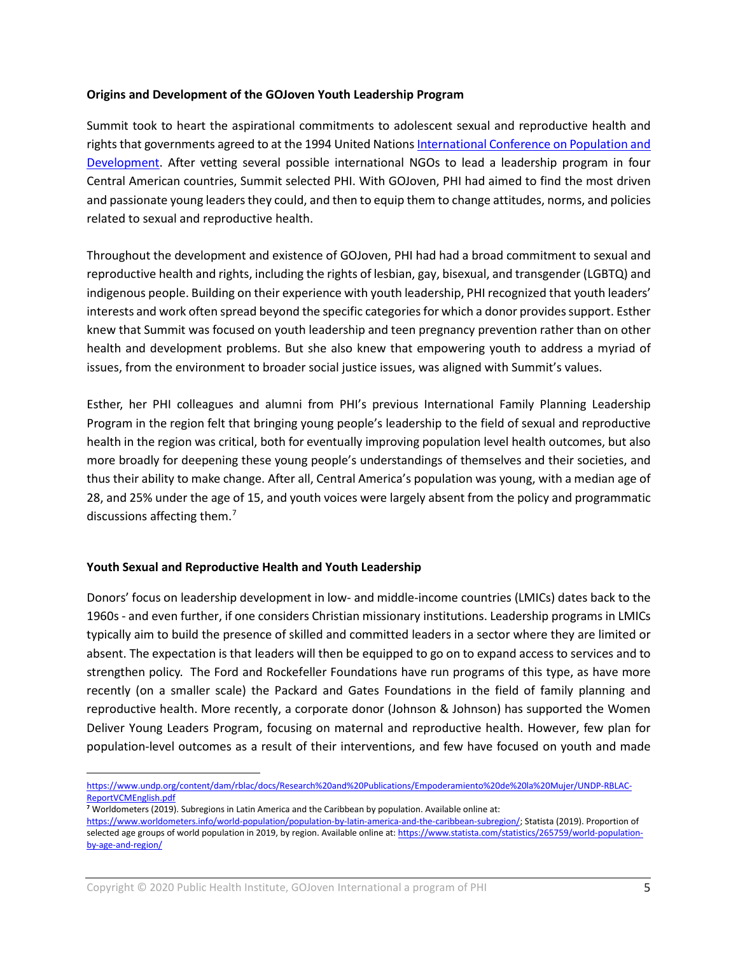#### **Origins and Development of the GOJoven Youth Leadership Program**

Summit took to heart the aspirational commitments to adolescent sexual and reproductive health and rights that governments agreed to at the 1994 United Nations [International Conference on Population and](https://www.unfpa.org/icpd)  [Development.](https://www.unfpa.org/icpd) After vetting several possible international NGOs to lead a leadership program in four Central American countries, Summit selected PHI. With GOJoven, PHI had aimed to find the most driven and passionate young leaders they could, and then to equip them to change attitudes, norms, and policies related to sexual and reproductive health.

Throughout the development and existence of GOJoven, PHI had had a broad commitment to sexual and reproductive health and rights, including the rights of lesbian, gay, bisexual, and transgender (LGBTQ) and indigenous people. Building on their experience with youth leadership, PHI recognized that youth leaders' interests and work often spread beyond the specific categories for which a donor provides support. Esther knew that Summit was focused on youth leadership and teen pregnancy prevention rather than on other health and development problems. But she also knew that empowering youth to address a myriad of issues, from the environment to broader social justice issues, was aligned with Summit's values.

Esther, her PHI colleagues and alumni from PHI's previous International Family Planning Leadership Program in the region felt that bringing young people's leadership to the field of sexual and reproductive health in the region was critical, both for eventually improving population level health outcomes, but also more broadly for deepening these young people's understandings of themselves and their societies, and thus their ability to make change. After all, Central America's population was young, with a median age of 28, and 25% under the age of 15, and youth voices were largely absent from the policy and programmatic discussions affecting them.<sup>[7](#page-4-0)</sup>

#### **Youth Sexual and Reproductive Health and Youth Leadership**

 $\overline{a}$ 

Donors' focus on leadership development in low- and middle-income countries (LMICs) dates back to the 1960s - and even further, if one considers Christian missionary institutions. Leadership programs in LMICs typically aim to build the presence of skilled and committed leaders in a sector where they are limited or absent. The expectation is that leaders will then be equipped to go on to expand access to services and to strengthen policy. The Ford and Rockefeller Foundations have run programs of this type, as have more recently (on a smaller scale) the Packard and Gates Foundations in the field of family planning and reproductive health. More recently, a corporate donor (Johnson & Johnson) has supported the Women Deliver Young Leaders Program, focusing on maternal and reproductive health. However, few plan for population-level outcomes as a result of their interventions, and few have focused on youth and made

[https://www.undp.org/content/dam/rblac/docs/Research%20and%20Publications/Empoderamiento%20de%20la%20Mujer/UNDP-RBLAC-](https://www.undp.org/content/dam/rblac/docs/Research%20and%20Publications/Empoderamiento%20de%20la%20Mujer/UNDP-RBLAC-ReportVCMEnglish.pdf)[ReportVCMEnglish.pdf](https://www.undp.org/content/dam/rblac/docs/Research%20and%20Publications/Empoderamiento%20de%20la%20Mujer/UNDP-RBLAC-ReportVCMEnglish.pdf)

<span id="page-4-0"></span>**<sup>7</sup>** Worldometers (2019). Subregions in Latin America and the Caribbean by population. Available online at:

[https://www.worldometers.info/world-population/population-by-latin-america-and-the-caribbean-subregion/;](https://www.worldometers.info/world-population/population-by-latin-america-and-the-caribbean-subregion/) Statista (2019). Proportion of selected age groups of world population in 2019, by region. Available online at[: https://www.statista.com/statistics/265759/world-population](https://www.statista.com/statistics/265759/world-population-by-age-and-region/)[by-age-and-region/](https://www.statista.com/statistics/265759/world-population-by-age-and-region/)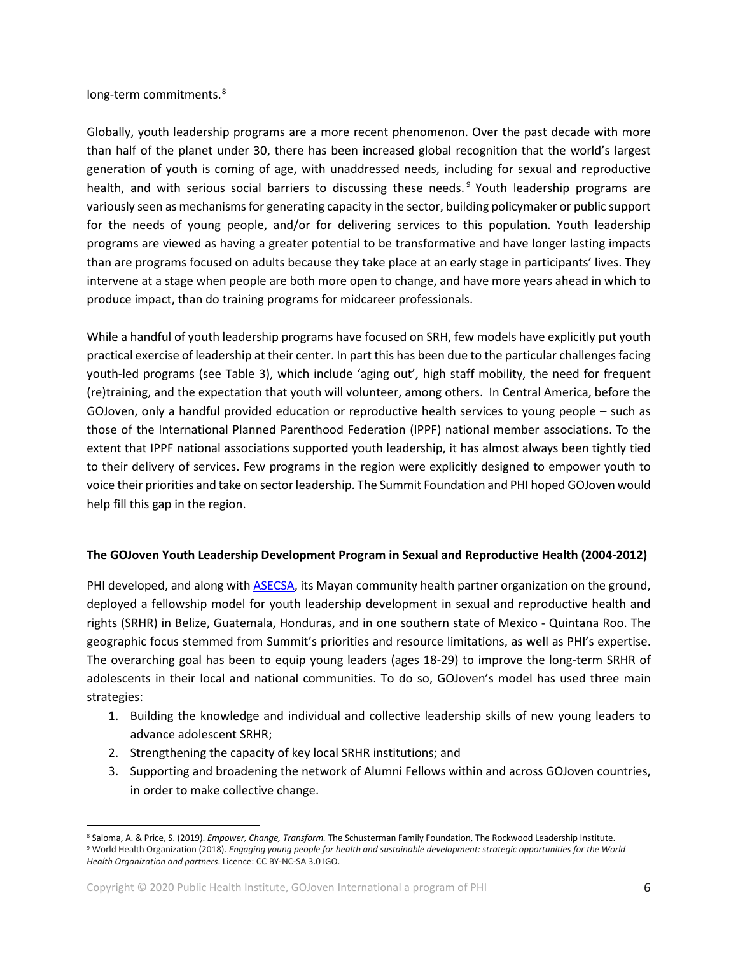## long-term commitments.<sup>[8](#page-5-0)</sup>

Globally, youth leadership programs are a more recent phenomenon. Over the past decade with more than half of the planet under 30, there has been increased global recognition that the world's largest generation of youth is coming of age, with unaddressed needs, including for sexual and reproductive health, and with serious social barriers to discussing these needs.<sup>[9](#page-5-1)</sup> Youth leadership programs are variously seen as mechanisms for generating capacity in the sector, building policymaker or public support for the needs of young people, and/or for delivering services to this population. Youth leadership programs are viewed as having a greater potential to be transformative and have longer lasting impacts than are programs focused on adults because they take place at an early stage in participants' lives. They intervene at a stage when people are both more open to change, and have more years ahead in which to produce impact, than do training programs for midcareer professionals.

While a handful of youth leadership programs have focused on SRH, few models have explicitly put youth practical exercise of leadership at their center. In part this has been due to the particular challenges facing youth-led programs (see Table 3), which include 'aging out', high staff mobility, the need for frequent (re)training, and the expectation that youth will volunteer, among others. In Central America, before the GOJoven, only a handful provided education or reproductive health services to young people – such as those of the International Planned Parenthood Federation (IPPF) national member associations. To the extent that IPPF national associations supported youth leadership, it has almost always been tightly tied to their delivery of services. Few programs in the region were explicitly designed to empower youth to voice their priorities and take on sector leadership. The Summit Foundation and PHI hoped GOJoven would help fill this gap in the region.

## **The GOJoven Youth Leadership Development Program in Sexual and Reproductive Health (2004-2012)**

PHI developed, and along with [ASECSA,](https://asecsaguatemala.org/2018/) its Mayan community health partner organization on the ground, deployed a fellowship model for youth leadership development in sexual and reproductive health and rights (SRHR) in Belize, Guatemala, Honduras, and in one southern state of Mexico - Quintana Roo. The geographic focus stemmed from Summit's priorities and resource limitations, as well as PHI's expertise. The overarching goal has been to equip young leaders (ages 18-29) to improve the long-term SRHR of adolescents in their local and national communities. To do so, GOJoven's model has used three main strategies:

- 1. Building the knowledge and individual and collective leadership skills of new young leaders to advance adolescent SRHR;
- 2. Strengthening the capacity of key local SRHR institutions; and
- 3. Supporting and broadening the network of Alumni Fellows within and across GOJoven countries, in order to make collective change.

<span id="page-5-1"></span><span id="page-5-0"></span> $\overline{a}$ <sup>8</sup> Saloma, A. & Price, S. (2019). *Empower, Change, Transform.* The Schusterman Family Foundation, The Rockwood Leadership Institute. <sup>9</sup> World Health Organization (2018). *Engaging young people for health and sustainable development: strategic opportunities for the World Health Organization and partners*. Licence: CC BY-NC-SA 3.0 IGO.

Copyright © 2020 Public Health Institute, GOJoven International a program of PHI 6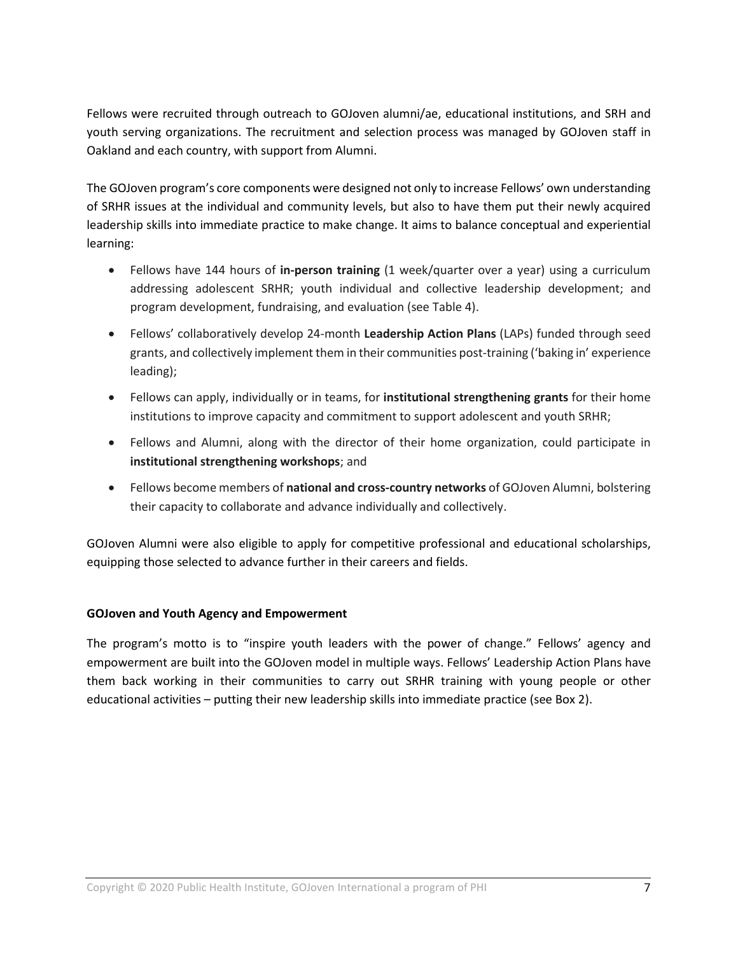Fellows were recruited through outreach to GOJoven alumni/ae, educational institutions, and SRH and youth serving organizations. The recruitment and selection process was managed by GOJoven staff in Oakland and each country, with support from Alumni.

The GOJoven program's core components were designed not only to increase Fellows' own understanding of SRHR issues at the individual and community levels, but also to have them put their newly acquired leadership skills into immediate practice to make change. It aims to balance conceptual and experiential learning:

- Fellows have 144 hours of **in-person training** (1 week/quarter over a year) using a curriculum addressing adolescent SRHR; youth individual and collective leadership development; and program development, fundraising, and evaluation (see Table 4).
- Fellows' collaboratively develop 24-month **Leadership Action Plans** (LAPs) funded through seed grants, and collectively implement them in their communities post-training ('baking in' experience leading);
- Fellows can apply, individually or in teams, for **institutional strengthening grants** for their home institutions to improve capacity and commitment to support adolescent and youth SRHR;
- Fellows and Alumni, along with the director of their home organization, could participate in **institutional strengthening workshops**; and
- Fellows become members of **national and cross-country networks** of GOJoven Alumni, bolstering their capacity to collaborate and advance individually and collectively.

GOJoven Alumni were also eligible to apply for competitive professional and educational scholarships, equipping those selected to advance further in their careers and fields.

## **GOJoven and Youth Agency and Empowerment**

The program's motto is to "inspire youth leaders with the power of change." Fellows' agency and empowerment are built into the GOJoven model in multiple ways. Fellows' Leadership Action Plans have them back working in their communities to carry out SRHR training with young people or other educational activities – putting their new leadership skills into immediate practice (see Box 2).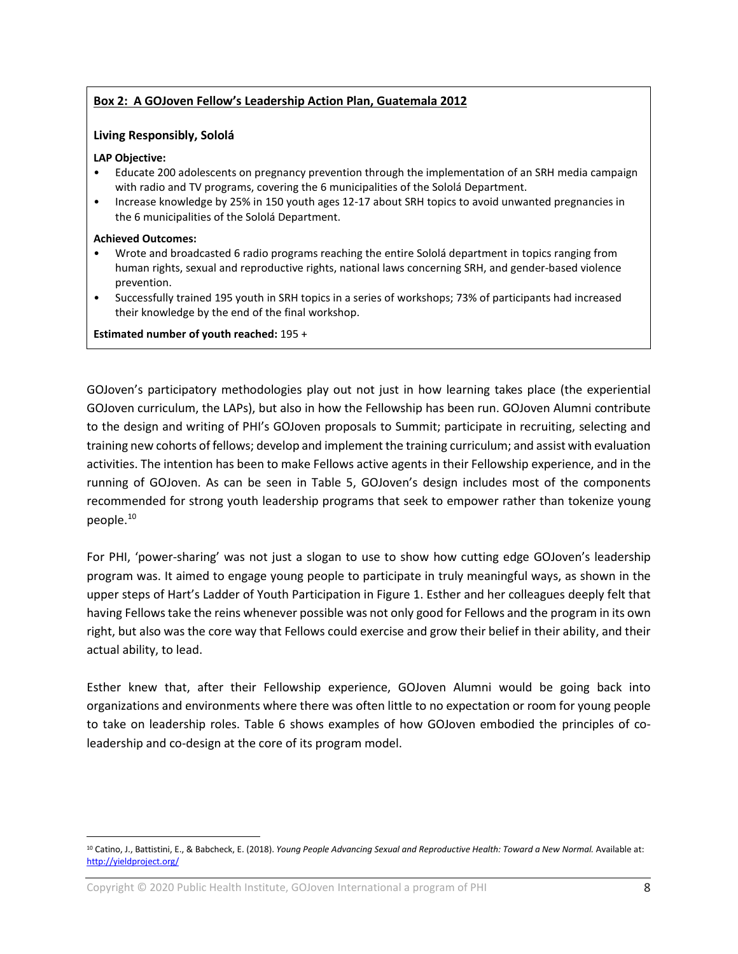## **Box 2: A GOJoven Fellow's Leadership Action Plan, Guatemala 2012**

#### **Living Responsibly, Sololá**

#### **LAP Objective:**

- Educate 200 adolescents on pregnancy prevention through the implementation of an SRH media campaign with radio and TV programs, covering the 6 municipalities of the Sololá Department.
- Increase knowledge by 25% in 150 youth ages 12-17 about SRH topics to avoid unwanted pregnancies in the 6 municipalities of the Sololá Department.

#### **Achieved Outcomes:**

 $\overline{a}$ 

- Wrote and broadcasted 6 radio programs reaching the entire Sololá department in topics ranging from human rights, sexual and reproductive rights, national laws concerning SRH, and gender-based violence prevention.
- Successfully trained 195 youth in SRH topics in a series of workshops; 73% of participants had increased their knowledge by the end of the final workshop.

**Estimated number of youth reached:** 195 +

GOJoven's participatory methodologies play out not just in how learning takes place (the experiential GOJoven curriculum, the LAPs), but also in how the Fellowship has been run. GOJoven Alumni contribute to the design and writing of PHI's GOJoven proposals to Summit; participate in recruiting, selecting and training new cohorts of fellows; develop and implement the training curriculum; and assist with evaluation activities. The intention has been to make Fellows active agents in their Fellowship experience, and in the running of GOJoven. As can be seen in Table 5, GOJoven's design includes most of the components recommended for strong youth leadership programs that seek to empower rather than tokenize young people.[10](#page-7-0)

For PHI, 'power-sharing' was not just a slogan to use to show how cutting edge GOJoven's leadership program was. It aimed to engage young people to participate in truly meaningful ways, as shown in the upper steps of Hart's Ladder of Youth Participation in Figure 1. Esther and her colleagues deeply felt that having Fellows take the reins whenever possible was not only good for Fellows and the program in its own right, but also was the core way that Fellows could exercise and grow their belief in their ability, and their actual ability, to lead.

Esther knew that, after their Fellowship experience, GOJoven Alumni would be going back into organizations and environments where there was often little to no expectation or room for young people to take on leadership roles. Table 6 shows examples of how GOJoven embodied the principles of coleadership and co-design at the core of its program model.

<span id="page-7-0"></span><sup>&</sup>lt;sup>10</sup> Catino, J., Battistini, E., & Babcheck, E. (2018). *Young People Advancing Sexual and Reproductive Health: Toward a New Normal.* Available at: <http://yieldproject.org/>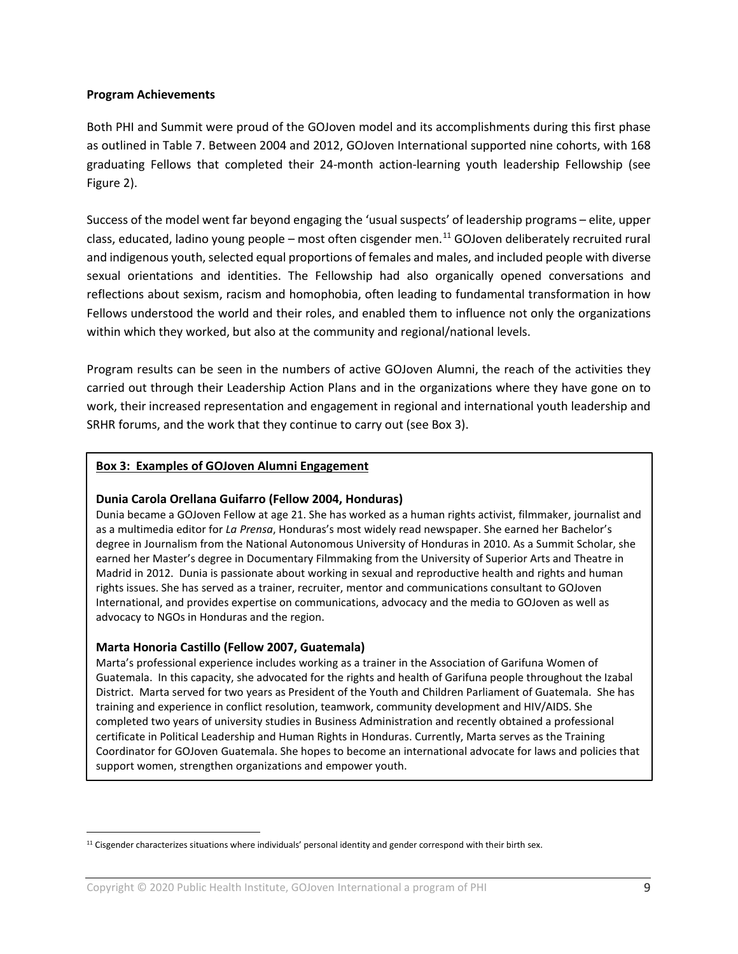#### **Program Achievements**

Both PHI and Summit were proud of the GOJoven model and its accomplishments during this first phase as outlined in Table 7. Between 2004 and 2012, GOJoven International supported nine cohorts, with 168 graduating Fellows that completed their 24-month action-learning youth leadership Fellowship (see Figure 2).

Success of the model went far beyond engaging the 'usual suspects' of leadership programs – elite, upper class, educated, ladino young people – most often cisgender men.<sup>[11](#page-8-0)</sup> GOJoven deliberately recruited rural and indigenous youth, selected equal proportions of females and males, and included people with diverse sexual orientations and identities. The Fellowship had also organically opened conversations and reflections about sexism, racism and homophobia, often leading to fundamental transformation in how Fellows understood the world and their roles, and enabled them to influence not only the organizations within which they worked, but also at the community and regional/national levels.

Program results can be seen in the numbers of active GOJoven Alumni, the reach of the activities they carried out through their Leadership Action Plans and in the organizations where they have gone on to work, their increased representation and engagement in regional and international youth leadership and SRHR forums, and the work that they continue to carry out (see Box 3).

#### **Box 3: Examples of GOJoven Alumni Engagement**

#### **Dunia Carola Orellana Guifarro (Fellow 2004, Honduras)**

Dunia became a GOJoven Fellow at age 21. She has worked as a human rights activist, filmmaker, journalist and as a multimedia editor for *La Prensa*, Honduras's most widely read newspaper. She earned her Bachelor's degree in Journalism from the National Autonomous University of Honduras in 2010. As a Summit Scholar, she earned her Master's degree in Documentary Filmmaking from the University of Superior Arts and Theatre in Madrid in 2012. Dunia is passionate about working in sexual and reproductive health and rights and human rights issues. She has served as a trainer, recruiter, mentor and communications consultant to GOJoven International, and provides expertise on communications, advocacy and the media to GOJoven as well as advocacy to NGOs in Honduras and the region.

#### **Marta Honoria Castillo (Fellow 2007, Guatemala)**

 $\overline{a}$ 

Marta's professional experience includes working as a trainer in the Association of Garifuna Women of Guatemala. In this capacity, she advocated for the rights and health of Garifuna people throughout the Izabal District. Marta served for two years as President of the Youth and Children Parliament of Guatemala. She has training and experience in conflict resolution, teamwork, community development and HIV/AIDS. She completed two years of university studies in Business Administration and recently obtained a professional certificate in Political Leadership and Human Rights in Honduras. Currently, Marta serves as the Training Coordinator for GOJoven Guatemala. She hopes to become an international advocate for laws and policies that support women, strengthen organizations and empower youth.

<span id="page-8-0"></span> $11$  Cisgender characterizes situations where individuals' personal identity and gender correspond with their birth sex.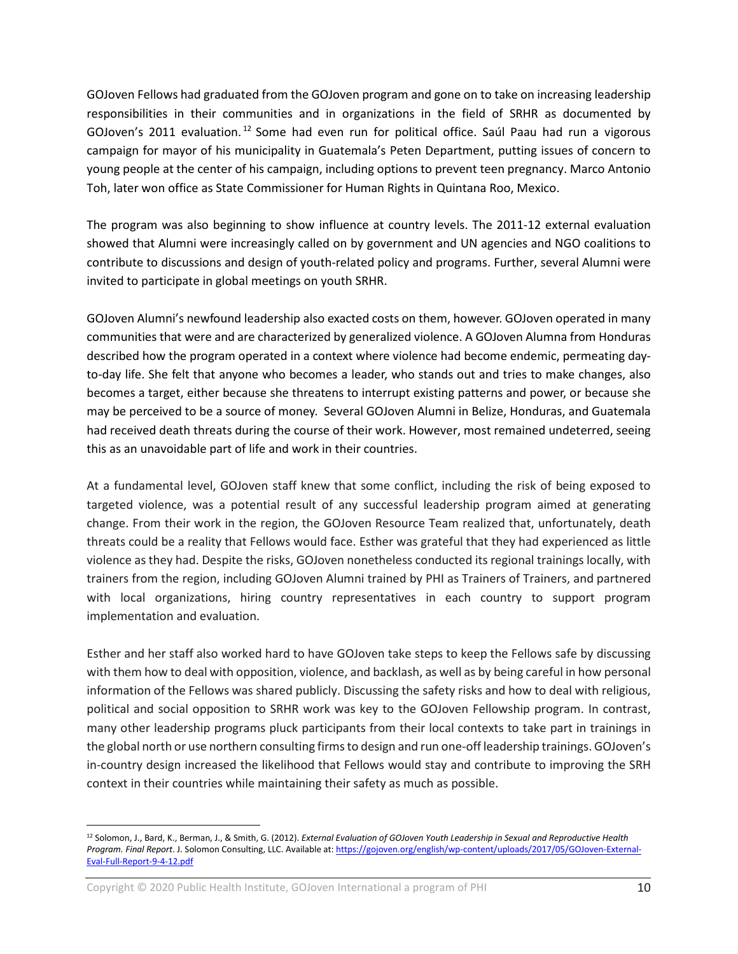GOJoven Fellows had graduated from the GOJoven program and gone on to take on increasing leadership responsibilities in their communities and in organizations in the field of SRHR as documented by GOJoven's 2011 evaluation.<sup>[12](#page-9-0)</sup> Some had even run for political office. Saúl Paau had run a vigorous campaign for mayor of his municipality in Guatemala's Peten Department, putting issues of concern to young people at the center of his campaign, including options to prevent teen pregnancy. Marco Antonio Toh, later won office as State Commissioner for Human Rights in Quintana Roo, Mexico.

The program was also beginning to show influence at country levels. The 2011-12 external evaluation showed that Alumni were increasingly called on by government and UN agencies and NGO coalitions to contribute to discussions and design of youth-related policy and programs. Further, several Alumni were invited to participate in global meetings on youth SRHR.

GOJoven Alumni's newfound leadership also exacted costs on them, however. GOJoven operated in many communities that were and are characterized by generalized violence. A GOJoven Alumna from Honduras described how the program operated in a context where violence had become endemic, permeating dayto-day life. She felt that anyone who becomes a leader, who stands out and tries to make changes, also becomes a target, either because she threatens to interrupt existing patterns and power, or because she may be perceived to be a source of money. Several GOJoven Alumni in Belize, Honduras, and Guatemala had received death threats during the course of their work. However, most remained undeterred, seeing this as an unavoidable part of life and work in their countries.

At a fundamental level, GOJoven staff knew that some conflict, including the risk of being exposed to targeted violence, was a potential result of any successful leadership program aimed at generating change. From their work in the region, the GOJoven Resource Team realized that, unfortunately, death threats could be a reality that Fellows would face. Esther was grateful that they had experienced as little violence as they had. Despite the risks, GOJoven nonetheless conducted its regional trainings locally, with trainers from the region, including GOJoven Alumni trained by PHI as Trainers of Trainers, and partnered with local organizations, hiring country representatives in each country to support program implementation and evaluation.

Esther and her staff also worked hard to have GOJoven take steps to keep the Fellows safe by discussing with them how to deal with opposition, violence, and backlash, as well as by being careful in how personal information of the Fellows was shared publicly. Discussing the safety risks and how to deal with religious, political and social opposition to SRHR work was key to the GOJoven Fellowship program. In contrast, many other leadership programs pluck participants from their local contexts to take part in trainings in the global north or use northern consulting firms to design and run one-off leadership trainings. GOJoven's in-country design increased the likelihood that Fellows would stay and contribute to improving the SRH context in their countries while maintaining their safety as much as possible.

 $\overline{a}$ 

<span id="page-9-0"></span><sup>12</sup> Solomon, J., Bard, K., Berman, J., & Smith, G. (2012). *External Evaluation of GOJoven Youth Leadership in Sexual and Reproductive Health Program. Final Report*. J. Solomon Consulting, LLC. Available at[: https://gojoven.org/english/wp-content/uploads/2017/05/GOJoven-External-](https://gojoven.org/english/wp-content/uploads/2017/05/GOJoven-External-Eval-Full-Report-9-4-12.pdf)[Eval-Full-Report-9-4-12.pdf](https://gojoven.org/english/wp-content/uploads/2017/05/GOJoven-External-Eval-Full-Report-9-4-12.pdf)

Copyright  $\odot$  2020 Public Health Institute, GOJoven International a program of PHI  $10$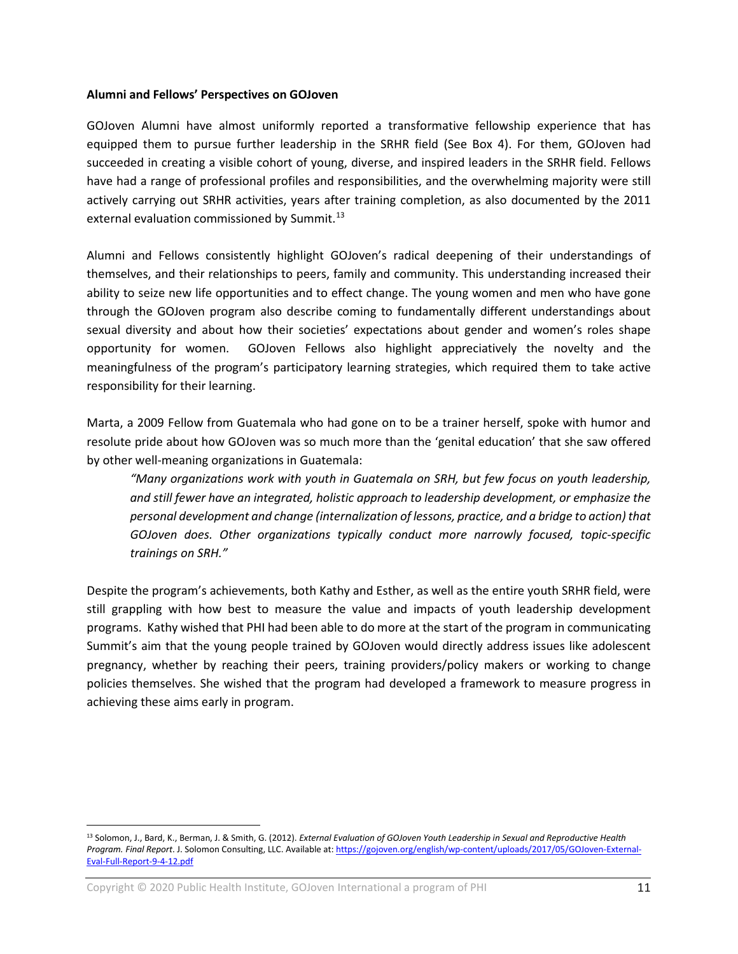#### **Alumni and Fellows' Perspectives on GOJoven**

GOJoven Alumni have almost uniformly reported a transformative fellowship experience that has equipped them to pursue further leadership in the SRHR field (See Box 4). For them, GOJoven had succeeded in creating a visible cohort of young, diverse, and inspired leaders in the SRHR field. Fellows have had a range of professional profiles and responsibilities, and the overwhelming majority were still actively carrying out SRHR activities, years after training completion, as also documented by the 2011 external evaluation commissioned by Summit.<sup>13</sup>

Alumni and Fellows consistently highlight GOJoven's radical deepening of their understandings of themselves, and their relationships to peers, family and community. This understanding increased their ability to seize new life opportunities and to effect change. The young women and men who have gone through the GOJoven program also describe coming to fundamentally different understandings about sexual diversity and about how their societies' expectations about gender and women's roles shape opportunity for women. GOJoven Fellows also highlight appreciatively the novelty and the meaningfulness of the program's participatory learning strategies, which required them to take active responsibility for their learning.

Marta, a 2009 Fellow from Guatemala who had gone on to be a trainer herself, spoke with humor and resolute pride about how GOJoven was so much more than the 'genital education' that she saw offered by other well-meaning organizations in Guatemala:

*"Many organizations work with youth in Guatemala on SRH, but few focus on youth leadership, and still fewer have an integrated, holistic approach to leadership development, or emphasize the personal development and change (internalization of lessons, practice, and a bridge to action) that GOJoven does. Other organizations typically conduct more narrowly focused, topic-specific trainings on SRH."*

Despite the program's achievements, both Kathy and Esther, as well as the entire youth SRHR field, were still grappling with how best to measure the value and impacts of youth leadership development programs. Kathy wished that PHI had been able to do more at the start of the program in communicating Summit's aim that the young people trained by GOJoven would directly address issues like adolescent pregnancy, whether by reaching their peers, training providers/policy makers or working to change policies themselves. She wished that the program had developed a framework to measure progress in achieving these aims early in program.

 $\overline{a}$ 

<span id="page-10-0"></span><sup>13</sup> Solomon, J., Bard, K., Berman, J. & Smith, G. (2012). *External Evaluation of GOJoven Youth Leadership in Sexual and Reproductive Health Program. Final Report*. J. Solomon Consulting, LLC. Available at[: https://gojoven.org/english/wp-content/uploads/2017/05/GOJoven-External-](https://gojoven.org/english/wp-content/uploads/2017/05/GOJoven-External-Eval-Full-Report-9-4-12.pdf)[Eval-Full-Report-9-4-12.pdf](https://gojoven.org/english/wp-content/uploads/2017/05/GOJoven-External-Eval-Full-Report-9-4-12.pdf)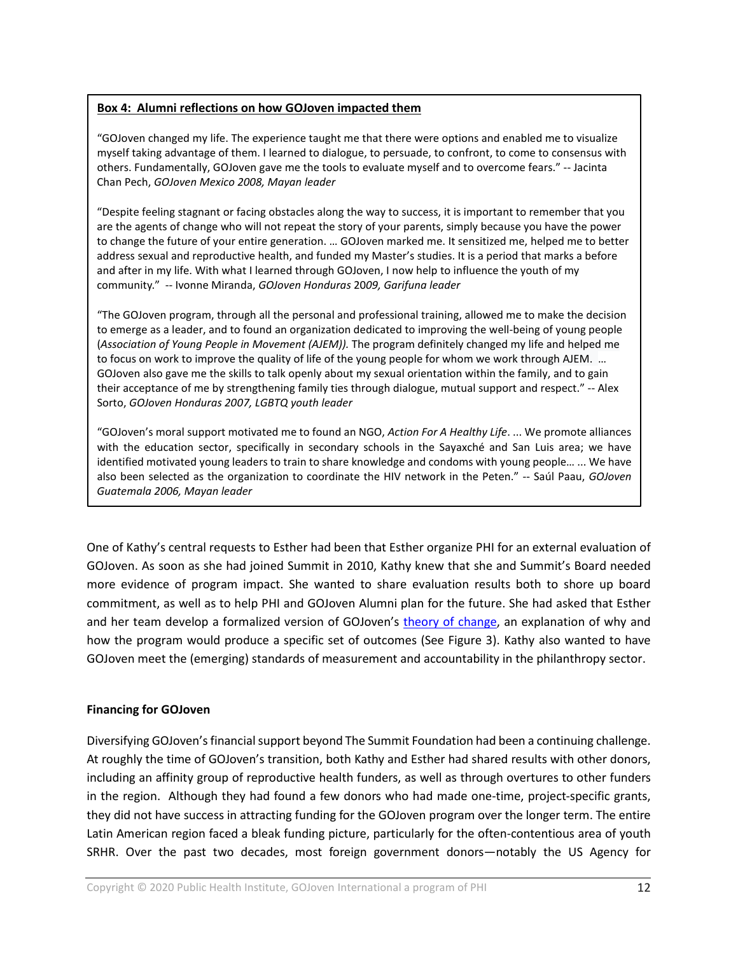#### **Box 4: Alumni reflections on how GOJoven impacted them**

"GOJoven changed my life. The experience taught me that there were options and enabled me to visualize myself taking advantage of them. I learned to dialogue, to persuade, to confront, to come to consensus with others. Fundamentally, GOJoven gave me the tools to evaluate myself and to overcome fears." -- [Jacinta](https://gojoven.org/gojoven_videos/jacinta-chan-pech-gojoven-fellow-mexico-2008/)  Chan Pech, *[GOJoven Mexico 2008,](https://gojoven.org/gojoven_videos/jacinta-chan-pech-gojoven-fellow-mexico-2008/) Mayan leader*

"Despite feeling stagnant or facing obstacles along the way to success, it is important to remember that you are the agents of change who will not repeat the story of your parents, simply because you have the power to change the future of your entire generation. … GOJoven marked me. It sensitized me, helped me to better address sexual and reproductive health, and funded my Master's studies. It is a period that marks a before and after in my life. With what I learned through GOJoven, I now help to influence the youth of my community." -- Ivonne Miranda, *GOJoven Honduras* 20*09, Garifuna leader*

"The GOJoven program, through all the personal and professional training, allowed me to make the decision to emerge as a leader, and to found an organization dedicated to improving the well-being of young people (*Association of Young People in Movement (AJEM)).* The program definitely changed my life and helped me to focus on work to improve the quality of life of the young people for whom we work through AJEM. … GOJoven also gave me the skills to talk openly about my sexual orientation within the family, and to gain their acceptance of me by strengthening family ties through dialogue, mutual support and respect." -- Alex Sorto, *GOJoven Honduras 2007, LGBTQ youth leader*

"GOJoven's moral support motivated me to found an NGO, *Action For A Healthy Life*. ... We promote alliances with the education sector, specifically in secondary schools in the Sayaxché and San Luis area; we have identified motivated young leaders to train to share knowledge and condoms with young people… ... We have also been selected as the organization to coordinate the HIV network in the Peten." -- Saúl Paau, *GOJoven Guatemala 2006, Mayan leader* 

One of Kathy's central requests to Esther had been that Esther organize PHI for an external evaluation of GOJoven. As soon as she had joined Summit in 2010, Kathy knew that she and Summit's Board needed more evidence of program impact. She wanted to share evaluation results both to shore up board commitment, as well as to help PHI and GOJoven Alumni plan for the future. She had asked that Esther and her team develop a formalized version of GOJoven's [theory of change,](https://gojoven.org/english/wp-content/uploads/2020/03/GOJoven-Theory-of-Change_2020.pdf) an explanation of why and how the program would produce a specific set of outcomes (See Figure 3). Kathy also wanted to have GOJoven meet the (emerging) standards of measurement and accountability in the philanthropy sector.

#### **Financing for GOJoven**

Diversifying GOJoven's financial support beyond The Summit Foundation had been a continuing challenge. At roughly the time of GOJoven's transition, both Kathy and Esther had shared results with other donors, including an affinity group of reproductive health funders, as well as through overtures to other funders in the region. Although they had found a few donors who had made one-time, project-specific grants, they did not have success in attracting funding for the GOJoven program over the longer term. The entire Latin American region faced a bleak funding picture, particularly for the often-contentious area of youth SRHR. Over the past two decades, most foreign government donors—notably the US Agency for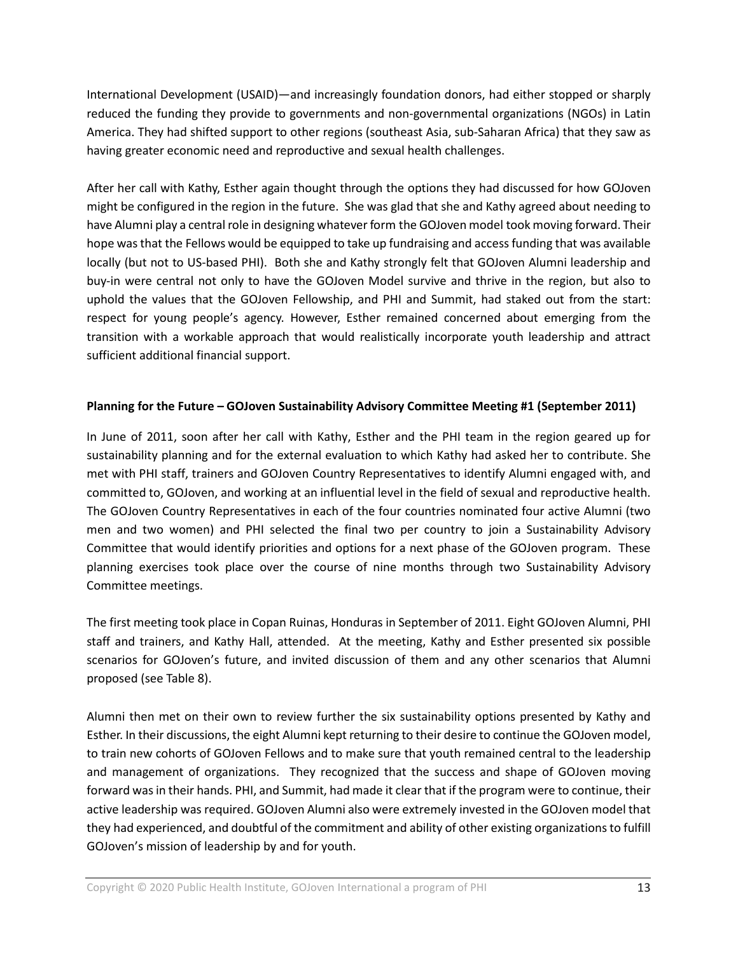International Development (USAID)—and increasingly foundation donors, had either stopped or sharply reduced the funding they provide to governments and non-governmental organizations (NGOs) in Latin America. They had shifted support to other regions (southeast Asia, sub-Saharan Africa) that they saw as having greater economic need and reproductive and sexual health challenges.

After her call with Kathy, Esther again thought through the options they had discussed for how GOJoven might be configured in the region in the future. She was glad that she and Kathy agreed about needing to have Alumni play a central role in designing whatever form the GOJoven model took moving forward. Their hope was that the Fellows would be equipped to take up fundraising and access funding that was available locally (but not to US-based PHI). Both she and Kathy strongly felt that GOJoven Alumni leadership and buy-in were central not only to have the GOJoven Model survive and thrive in the region, but also to uphold the values that the GOJoven Fellowship, and PHI and Summit, had staked out from the start: respect for young people's agency. However, Esther remained concerned about emerging from the transition with a workable approach that would realistically incorporate youth leadership and attract sufficient additional financial support.

## **Planning for the Future – GOJoven Sustainability Advisory Committee Meeting #1 (September 2011)**

In June of 2011, soon after her call with Kathy, Esther and the PHI team in the region geared up for sustainability planning and for the external evaluation to which Kathy had asked her to contribute. She met with PHI staff, trainers and GOJoven Country Representatives to identify Alumni engaged with, and committed to, GOJoven, and working at an influential level in the field of sexual and reproductive health. The GOJoven Country Representatives in each of the four countries nominated four active Alumni (two men and two women) and PHI selected the final two per country to join a Sustainability Advisory Committee that would identify priorities and options for a next phase of the GOJoven program. These planning exercises took place over the course of nine months through two Sustainability Advisory Committee meetings.

The first meeting took place in Copan Ruinas, Honduras in September of 2011. Eight GOJoven Alumni, PHI staff and trainers, and Kathy Hall, attended. At the meeting, Kathy and Esther presented six possible scenarios for GOJoven's future, and invited discussion of them and any other scenarios that Alumni proposed (see Table 8).

Alumni then met on their own to review further the six sustainability options presented by Kathy and Esther. In their discussions, the eight Alumni kept returning to their desire to continue the GOJoven model, to train new cohorts of GOJoven Fellows and to make sure that youth remained central to the leadership and management of organizations. They recognized that the success and shape of GOJoven moving forward was in their hands. PHI, and Summit, had made it clear that if the program were to continue, their active leadership was required. GOJoven Alumni also were extremely invested in the GOJoven model that they had experienced, and doubtful of the commitment and ability of other existing organizations to fulfill GOJoven's mission of leadership by and for youth.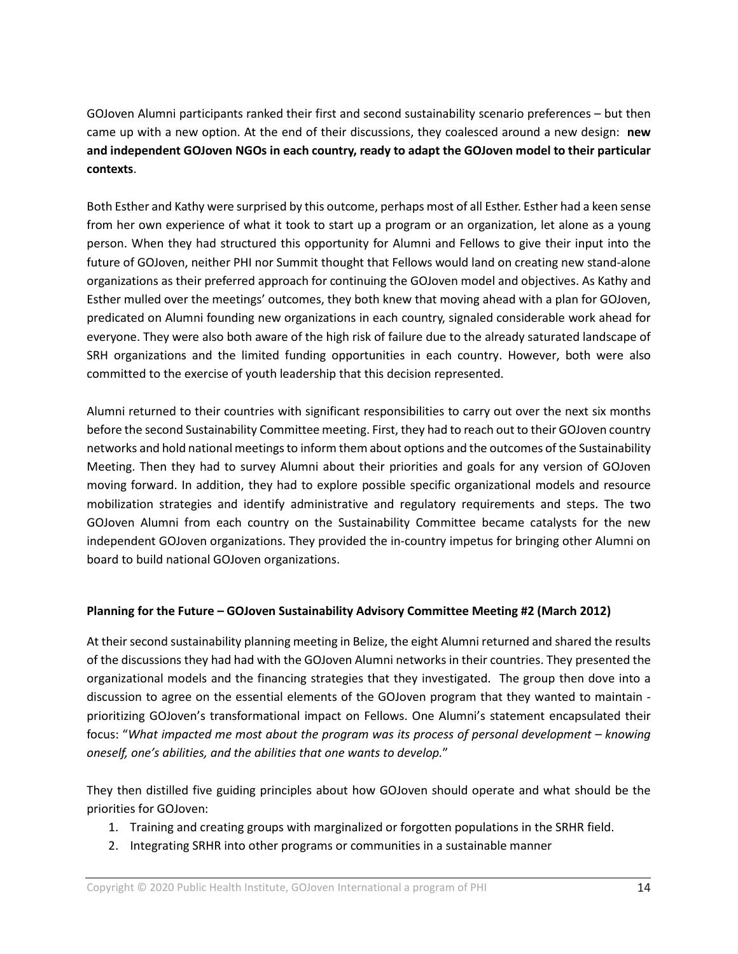GOJoven Alumni participants ranked their first and second sustainability scenario preferences – but then came up with a new option. At the end of their discussions, they coalesced around a new design: **new and independent GOJoven NGOs in each country, ready to adapt the GOJoven model to their particular contexts**.

Both Esther and Kathy were surprised by this outcome, perhaps most of all Esther. Esther had a keen sense from her own experience of what it took to start up a program or an organization, let alone as a young person. When they had structured this opportunity for Alumni and Fellows to give their input into the future of GOJoven, neither PHI nor Summit thought that Fellows would land on creating new stand-alone organizations as their preferred approach for continuing the GOJoven model and objectives. As Kathy and Esther mulled over the meetings' outcomes, they both knew that moving ahead with a plan for GOJoven, predicated on Alumni founding new organizations in each country, signaled considerable work ahead for everyone. They were also both aware of the high risk of failure due to the already saturated landscape of SRH organizations and the limited funding opportunities in each country. However, both were also committed to the exercise of youth leadership that this decision represented.

Alumni returned to their countries with significant responsibilities to carry out over the next six months before the second Sustainability Committee meeting. First, they had to reach out to their GOJoven country networks and hold national meetings to inform them about options and the outcomes of the Sustainability Meeting. Then they had to survey Alumni about their priorities and goals for any version of GOJoven moving forward. In addition, they had to explore possible specific organizational models and resource mobilization strategies and identify administrative and regulatory requirements and steps. The two GOJoven Alumni from each country on the Sustainability Committee became catalysts for the new independent GOJoven organizations. They provided the in-country impetus for bringing other Alumni on board to build national GOJoven organizations.

## **Planning for the Future – GOJoven Sustainability Advisory Committee Meeting #2 (March 2012)**

At their second sustainability planning meeting in Belize, the eight Alumni returned and shared the results of the discussions they had had with the GOJoven Alumni networks in their countries. They presented the organizational models and the financing strategies that they investigated. The group then dove into a discussion to agree on the essential elements of the GOJoven program that they wanted to maintain prioritizing GOJoven's transformational impact on Fellows. One Alumni's statement encapsulated their focus: "*What impacted me most about the program was its process of personal development – knowing oneself, one's abilities, and the abilities that one wants to develop.*"

They then distilled five guiding principles about how GOJoven should operate and what should be the priorities for GOJoven:

- 1. Training and creating groups with marginalized or forgotten populations in the SRHR field.
- 2. Integrating SRHR into other programs or communities in a sustainable manner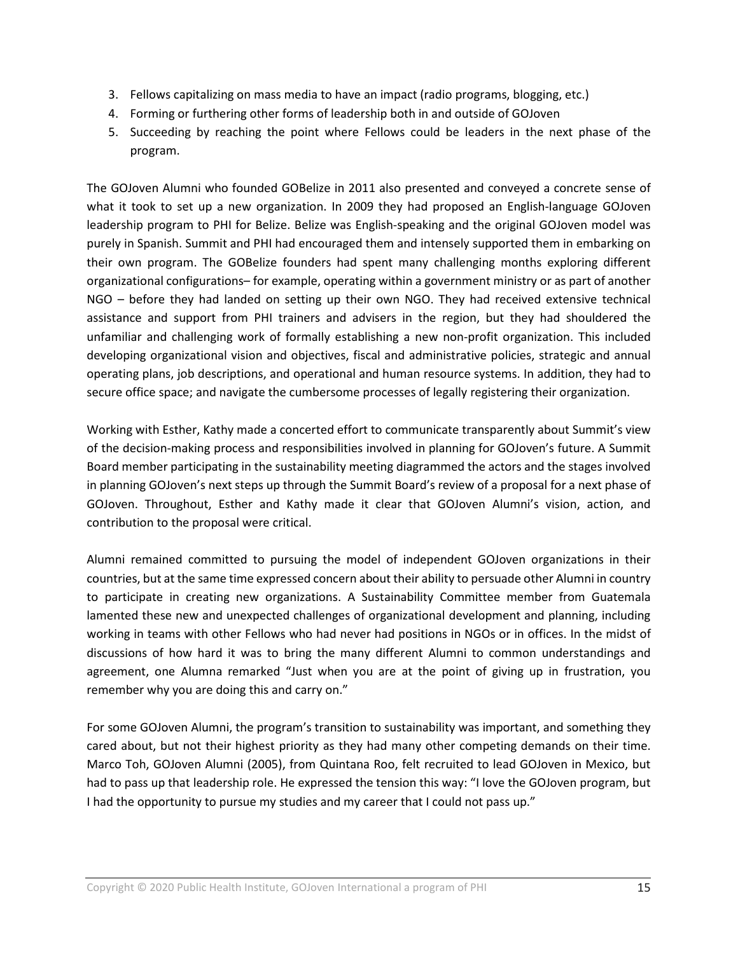- 3. Fellows capitalizing on mass media to have an impact (radio programs, blogging, etc.)
- 4. Forming or furthering other forms of leadership both in and outside of GOJoven
- 5. Succeeding by reaching the point where Fellows could be leaders in the next phase of the program.

The GOJoven Alumni who founded GOBelize in 2011 also presented and conveyed a concrete sense of what it took to set up a new organization. In 2009 they had proposed an English-language GOJoven leadership program to PHI for Belize. Belize was English-speaking and the original GOJoven model was purely in Spanish. Summit and PHI had encouraged them and intensely supported them in embarking on their own program. The GOBelize founders had spent many challenging months exploring different organizational configurations– for example, operating within a government ministry or as part of another NGO – before they had landed on setting up their own NGO. They had received extensive technical assistance and support from PHI trainers and advisers in the region, but they had shouldered the unfamiliar and challenging work of formally establishing a new non-profit organization. This included developing organizational vision and objectives, fiscal and administrative policies, strategic and annual operating plans, job descriptions, and operational and human resource systems. In addition, they had to secure office space; and navigate the cumbersome processes of legally registering their organization.

Working with Esther, Kathy made a concerted effort to communicate transparently about Summit's view of the decision-making process and responsibilities involved in planning for GOJoven's future. A Summit Board member participating in the sustainability meeting diagrammed the actors and the stages involved in planning GOJoven's next steps up through the Summit Board's review of a proposal for a next phase of GOJoven. Throughout, Esther and Kathy made it clear that GOJoven Alumni's vision, action, and contribution to the proposal were critical.

Alumni remained committed to pursuing the model of independent GOJoven organizations in their countries, but at the same time expressed concern about their ability to persuade other Alumni in country to participate in creating new organizations. A Sustainability Committee member from Guatemala lamented these new and unexpected challenges of organizational development and planning, including working in teams with other Fellows who had never had positions in NGOs or in offices. In the midst of discussions of how hard it was to bring the many different Alumni to common understandings and agreement, one Alumna remarked "Just when you are at the point of giving up in frustration, you remember why you are doing this and carry on."

For some GOJoven Alumni, the program's transition to sustainability was important, and something they cared about, but not their highest priority as they had many other competing demands on their time. Marco Toh, GOJoven Alumni (2005), from Quintana Roo, felt recruited to lead GOJoven in Mexico, but had to pass up that leadership role. He expressed the tension this way: "I love the GOJoven program, but I had the opportunity to pursue my studies and my career that I could not pass up."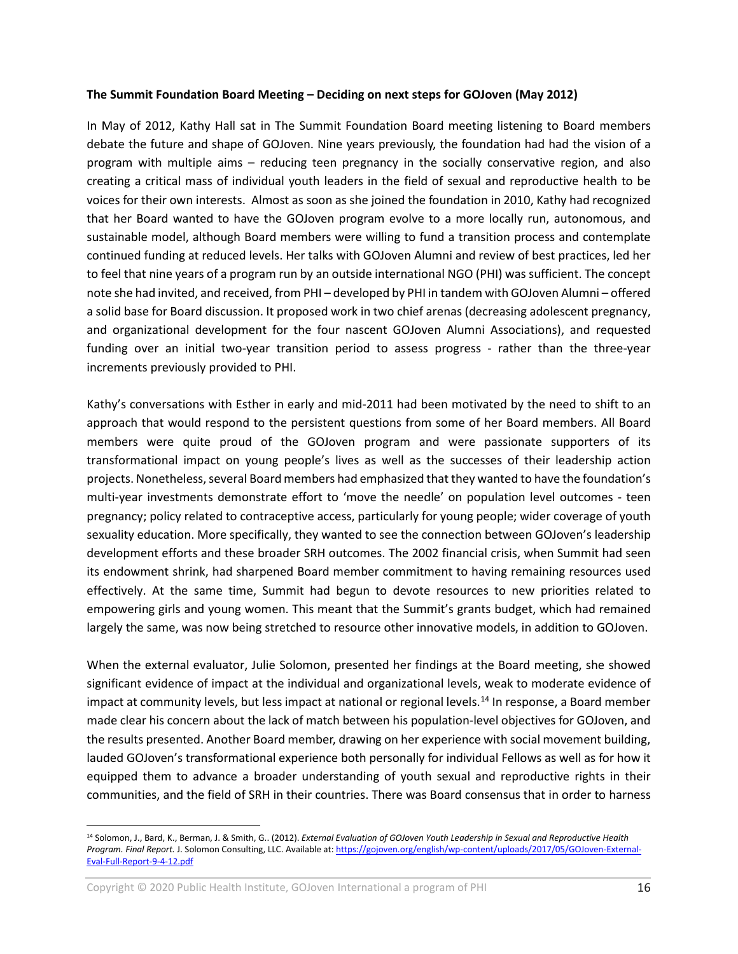#### **The Summit Foundation Board Meeting – Deciding on next steps for GOJoven (May 2012)**

In May of 2012, Kathy Hall sat in The Summit Foundation Board meeting listening to Board members debate the future and shape of GOJoven. Nine years previously, the foundation had had the vision of a program with multiple aims – reducing teen pregnancy in the socially conservative region, and also creating a critical mass of individual youth leaders in the field of sexual and reproductive health to be voices for their own interests. Almost as soon as she joined the foundation in 2010, Kathy had recognized that her Board wanted to have the GOJoven program evolve to a more locally run, autonomous, and sustainable model, although Board members were willing to fund a transition process and contemplate continued funding at reduced levels. Her talks with GOJoven Alumni and review of best practices, led her to feel that nine years of a program run by an outside international NGO (PHI) was sufficient. The concept note she had invited, and received, from PHI – developed by PHI in tandem with GOJoven Alumni – offered a solid base for Board discussion. It proposed work in two chief arenas (decreasing adolescent pregnancy, and organizational development for the four nascent GOJoven Alumni Associations), and requested funding over an initial two-year transition period to assess progress - rather than the three-year increments previously provided to PHI.

Kathy's conversations with Esther in early and mid-2011 had been motivated by the need to shift to an approach that would respond to the persistent questions from some of her Board members. All Board members were quite proud of the GOJoven program and were passionate supporters of its transformational impact on young people's lives as well as the successes of their leadership action projects. Nonetheless, several Board members had emphasized that they wanted to have the foundation's multi-year investments demonstrate effort to 'move the needle' on population level outcomes - teen pregnancy; policy related to contraceptive access, particularly for young people; wider coverage of youth sexuality education. More specifically, they wanted to see the connection between GOJoven's leadership development efforts and these broader SRH outcomes. The 2002 financial crisis, when Summit had seen its endowment shrink, had sharpened Board member commitment to having remaining resources used effectively. At the same time, Summit had begun to devote resources to new priorities related to empowering girls and young women. This meant that the Summit's grants budget, which had remained largely the same, was now being stretched to resource other innovative models, in addition to GOJoven.

When the external evaluator, Julie Solomon, presented her findings at the Board meeting, she showed significant evidence of impact at the individual and organizational levels, weak to moderate evidence of impact at community levels, but less impact at national or regional levels.<sup>[14](#page-15-0)</sup> In response, a Board member made clear his concern about the lack of match between his population-level objectives for GOJoven, and the results presented. Another Board member, drawing on her experience with social movement building, lauded GOJoven's transformational experience both personally for individual Fellows as well as for how it equipped them to advance a broader understanding of youth sexual and reproductive rights in their communities, and the field of SRH in their countries. There was Board consensus that in order to harness

Copyright  $\odot$  2020 Public Health Institute, GOJoven International a program of PHI 16

 $\overline{a}$ 

<span id="page-15-0"></span><sup>14</sup> Solomon, J., Bard, K., Berman, J. & Smith, G.. (2012). *External Evaluation of GOJoven Youth Leadership in Sexual and Reproductive Health Program. Final Report.* J. Solomon Consulting, LLC. Available at[: https://gojoven.org/english/wp-content/uploads/2017/05/GOJoven-External-](https://gojoven.org/english/wp-content/uploads/2017/05/GOJoven-External-Eval-Full-Report-9-4-12.pdf)[Eval-Full-Report-9-4-12.pdf](https://gojoven.org/english/wp-content/uploads/2017/05/GOJoven-External-Eval-Full-Report-9-4-12.pdf)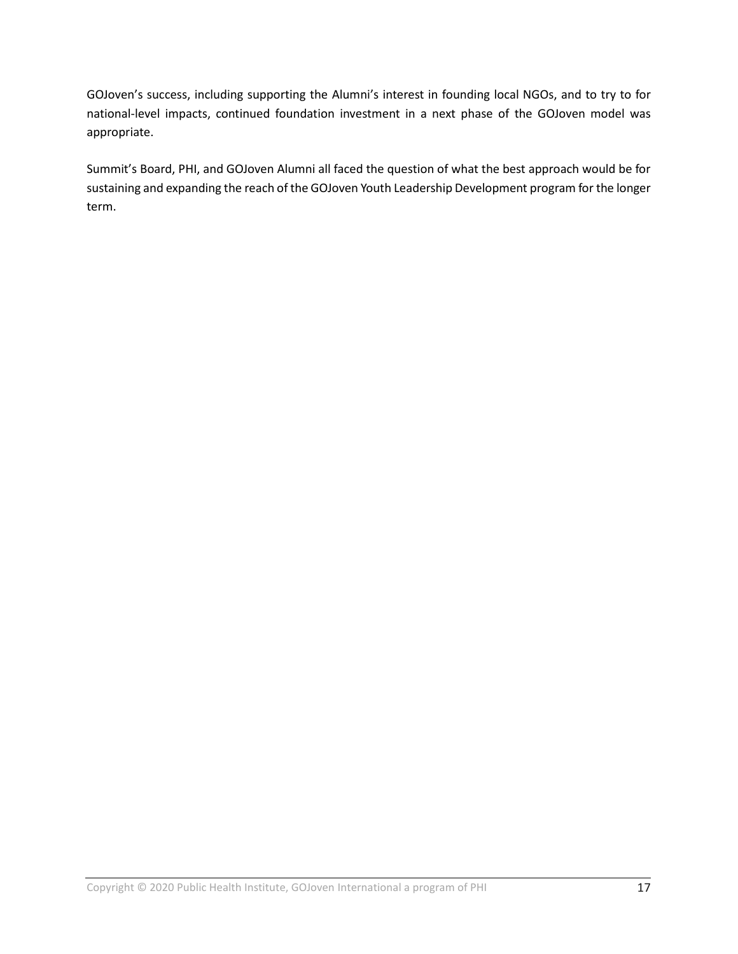GOJoven's success, including supporting the Alumni's interest in founding local NGOs, and to try to for national-level impacts, continued foundation investment in a next phase of the GOJoven model was appropriate.

Summit's Board, PHI, and GOJoven Alumni all faced the question of what the best approach would be for sustaining and expanding the reach of the GOJoven Youth Leadership Development program for the longer term.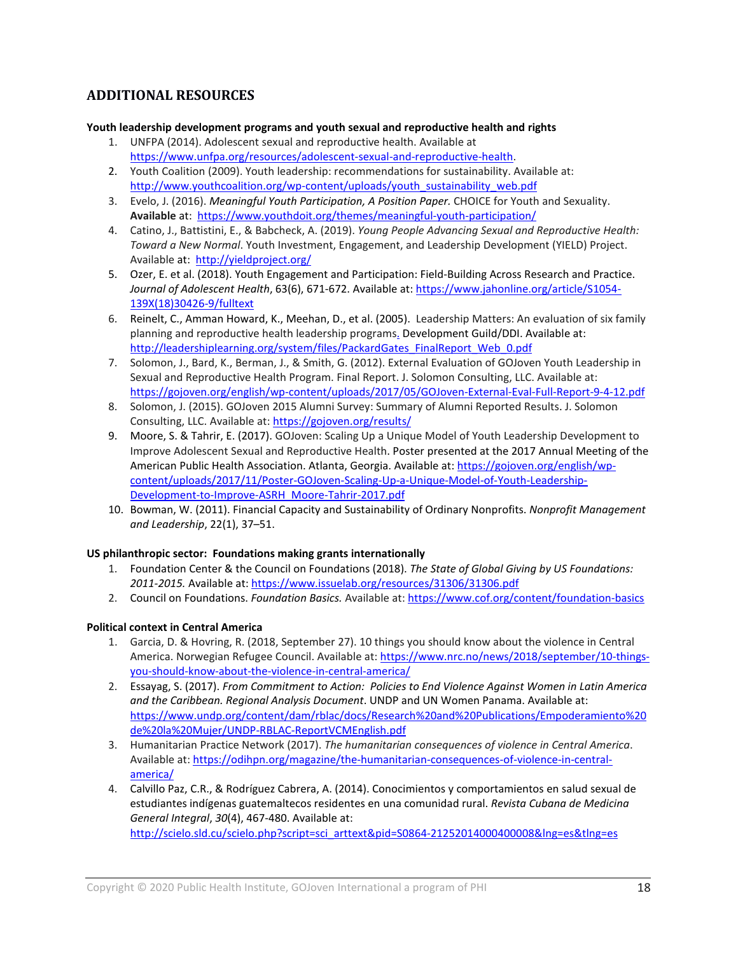# **ADDITIONAL RESOURCES**

#### **Youth leadership development programs and youth sexual and reproductive health and rights**

- 1. UNFPA (2014). Adolescent sexual and reproductive health. Available at [https://www.unfpa.org/resources/adolescent-sexual-and-reproductive-health.](https://www.unfpa.org/resources/adolescent-sexual-and-reproductive-health)
- 2. Youth Coalition (2009). Youth leadership: recommendations for sustainability. Available at: [http://www.youthcoalition.org/wp-content/uploads/youth\\_sustainability\\_web.pdf](http://www.youthcoalition.org/wp-content/uploads/youth_sustainability_web.pdf)
- 3. Evelo, J. (2016). *Meaningful Youth Participation, A Position Paper.* CHOICE for Youth and Sexuality. **Available** at: <https://www.youthdoit.org/themes/meaningful-youth-participation/>
- 4. Catino, J., Battistini, E., & Babcheck, A. (2019). *Young People Advancing Sexual and Reproductive Health: Toward a New Normal*. Youth Investment, Engagement, and Leadership Development (YIELD) Project. Available at:<http://yieldproject.org/>
- 5. Ozer, E. et al. (2018). Youth Engagement and Participation: Field-Building Across Research and Practice. *Journal of Adolescent Health*, 63(6), 671-672. Available at: [https://www.jahonline.org/article/S1054-](https://www.jahonline.org/article/S1054-139X(18)30426-9/fulltext) [139X\(18\)30426-9/fulltext](https://www.jahonline.org/article/S1054-139X(18)30426-9/fulltext)
- 6. Reinelt, C., Amman Howard, K., Meehan, D., et al. (2005). Leadership Matters: An evaluation of six family planning and reproductive health leadership programs. Development Guild/DDI. Available at: [http://leadershiplearning.org/system/files/PackardGates\\_FinalReport\\_Web\\_0.pdf](http://leadershiplearning.org/system/files/PackardGates_FinalReport_Web_0.pdf)
- 7. Solomon, J., Bard, K., Berman, J., & Smith, G. (2012). External Evaluation of GOJoven Youth Leadership in Sexual and Reproductive Health Program. Final Report. J. Solomon Consulting, LLC. Available at: <https://gojoven.org/english/wp-content/uploads/2017/05/GOJoven-External-Eval-Full-Report-9-4-12.pdf>
- 8. Solomon, J. (2015). GOJoven 2015 Alumni Survey: Summary of Alumni Reported Results. J. Solomon Consulting, LLC. Available at[: https://gojoven.org/results/](https://gojoven.org/results/)
- 9. Moore, S. & Tahrir, E. (2017). GOJoven: Scaling Up a Unique Model of Youth Leadership Development to Improve Adolescent Sexual and Reproductive Health. Poster presented at the 2017 Annual Meeting of the American Public Health Association. Atlanta, Georgia. Available at[: https://gojoven.org/english/wp](https://gojoven.org/english/wp-content/uploads/2017/11/Poster-GOJoven-Scaling-Up-a-Unique-Model-of-Youth-Leadership-Development-to-Improve-ASRH_Moore-Tahrir-2017.pdf)[content/uploads/2017/11/Poster-GOJoven-Scaling-Up-a-Unique-Model-of-Youth-Leadership-](https://gojoven.org/english/wp-content/uploads/2017/11/Poster-GOJoven-Scaling-Up-a-Unique-Model-of-Youth-Leadership-Development-to-Improve-ASRH_Moore-Tahrir-2017.pdf)[Development-to-Improve-ASRH\\_Moore-Tahrir-2017.pdf](https://gojoven.org/english/wp-content/uploads/2017/11/Poster-GOJoven-Scaling-Up-a-Unique-Model-of-Youth-Leadership-Development-to-Improve-ASRH_Moore-Tahrir-2017.pdf)
- 10. Bowman, W. (2011). Financial Capacity and Sustainability of Ordinary Nonprofits. *Nonprofit Management and Leadership*, 22(1), 37–51.

#### **US philanthropic sector: Foundations making grants internationally**

- 1. Foundation Center & the Council on Foundations (2018). *The State of Global Giving by US Foundations: 2011-2015.* Available at: <https://www.issuelab.org/resources/31306/31306.pdf>
- 2. Council on Foundations. *Foundation Basics.* Available at[: https://www.cof.org/content/foundation-basics](https://www.cof.org/content/foundation-basics)

#### **Political context in Central America**

- 1. Garcia, D. & Hovring, R. (2018, September 27). 10 things you should know about the violence in Central America. Norwegian Refugee Council. Available at[: https://www.nrc.no/news/2018/september/10-things](https://www.nrc.no/news/2018/september/10-things-you-should-know-about-the-violence-in-central-america/)[you-should-know-about-the-violence-in-central-america/](https://www.nrc.no/news/2018/september/10-things-you-should-know-about-the-violence-in-central-america/)
- 2. Essayag, S. (2017). *From Commitment to Action: Policies to End Violence Against Women in Latin America and the Caribbean. Regional Analysis Document*. UNDP and UN Women Panama. Available at: [https://www.undp.org/content/dam/rblac/docs/Research%20and%20Publications/Empoderamiento%20](https://www.undp.org/content/dam/rblac/docs/Research%20and%20Publications/Empoderamiento%20de%20la%20Mujer/UNDP-RBLAC-ReportVCMEnglish.pdf) [de%20la%20Mujer/UNDP-RBLAC-ReportVCMEnglish.pdf](https://www.undp.org/content/dam/rblac/docs/Research%20and%20Publications/Empoderamiento%20de%20la%20Mujer/UNDP-RBLAC-ReportVCMEnglish.pdf)
- 3. Humanitarian Practice Network (2017). *The humanitarian consequences of violence in Central America*. Available at: [https://odihpn.org/magazine/the-humanitarian-consequences-of-violence-in-central](https://odihpn.org/magazine/the-humanitarian-consequences-of-violence-in-central-america/)[america/](https://odihpn.org/magazine/the-humanitarian-consequences-of-violence-in-central-america/)
- 4. Calvillo Paz, C.R., & Rodríguez Cabrera, A. (2014). Conocimientos y comportamientos en salud sexual de estudiantes indígenas guatemaltecos residentes en una comunidad rural. *Revista Cubana de Medicina General Integral*, *30*(4), 467-480. Available at:

[http://scielo.sld.cu/scielo.php?script=sci\\_arttext&pid=S0864-21252014000400008&lng=es&tlng=es](http://scielo.sld.cu/scielo.php?script=sci_arttext&pid=S0864-21252014000400008&lng=es&tlng=es)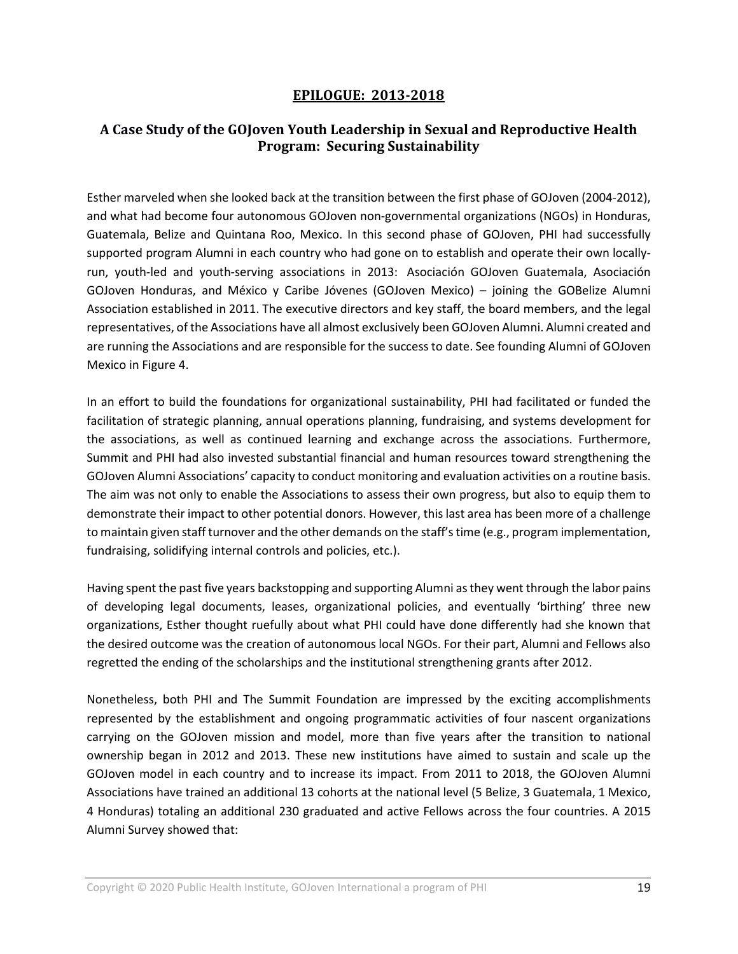## **EPILOGUE: 2013-2018**

# **A Case Study of the GOJoven Youth Leadership in Sexual and Reproductive Health Program: Securing Sustainability**

Esther marveled when she looked back at the transition between the first phase of GOJoven (2004-2012), and what had become four autonomous GOJoven non-governmental organizations (NGOs) in Honduras, Guatemala, Belize and Quintana Roo, Mexico. In this second phase of GOJoven, PHI had successfully supported program Alumni in each country who had gone on to establish and operate their own locallyrun, youth-led and youth-serving associations in 2013: Asociación GOJoven Guatemala, Asociación GOJoven Honduras, and México y Caribe Jóvenes (GOJoven Mexico) – joining the GOBelize Alumni Association established in 2011. The executive directors and key staff, the board members, and the legal representatives, of the Associations have all almost exclusively been GOJoven Alumni. Alumni created and are running the Associations and are responsible for the success to date. See founding Alumni of GOJoven Mexico in Figure 4.

In an effort to build the foundations for organizational sustainability, PHI had facilitated or funded the facilitation of strategic planning, annual operations planning, fundraising, and systems development for the associations, as well as continued learning and exchange across the associations. Furthermore, Summit and PHI had also invested substantial financial and human resources toward strengthening the GOJoven Alumni Associations' capacity to conduct monitoring and evaluation activities on a routine basis. The aim was not only to enable the Associations to assess their own progress, but also to equip them to demonstrate their impact to other potential donors. However, this last area has been more of a challenge to maintain given staff turnover and the other demands on the staff's time (e.g., program implementation, fundraising, solidifying internal controls and policies, etc.).

Having spent the past five years backstopping and supporting Alumni as they went through the labor pains of developing legal documents, leases, organizational policies, and eventually 'birthing' three new organizations, Esther thought ruefully about what PHI could have done differently had she known that the desired outcome was the creation of autonomous local NGOs. For their part, Alumni and Fellows also regretted the ending of the scholarships and the institutional strengthening grants after 2012.

Nonetheless, both PHI and The Summit Foundation are impressed by the exciting accomplishments represented by the establishment and ongoing programmatic activities of four nascent organizations carrying on the GOJoven mission and model, more than five years after the transition to national ownership began in 2012 and 2013. These new institutions have aimed to sustain and scale up the GOJoven model in each country and to increase its impact. From 2011 to 2018, the GOJoven Alumni Associations have trained an additional 13 cohorts at the national level (5 Belize, 3 Guatemala, 1 Mexico, 4 Honduras) totaling an additional 230 graduated and active Fellows across the four countries. A 2015 Alumni Survey showed that: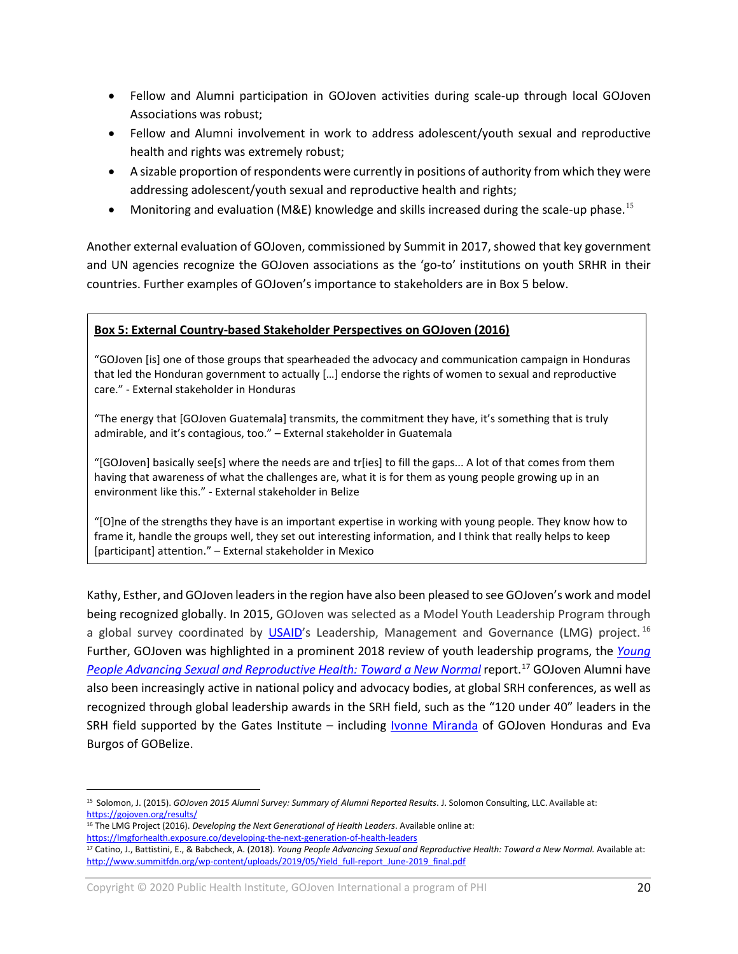- Fellow and Alumni participation in GOJoven activities during scale-up through local GOJoven Associations was robust;
- Fellow and Alumni involvement in work to address adolescent/youth sexual and reproductive health and rights was extremely robust;
- A sizable proportion of respondents were currently in positions of authority from which they were addressing adolescent/youth sexual and reproductive health and rights;
- Monitoring and evaluation (M&E) knowledge and skills increased during the scale-up phase.<sup>[15](#page-19-0)</sup>

Another external evaluation of GOJoven, commissioned by Summit in 2017, showed that key government and UN agencies recognize the GOJoven associations as the 'go-to' institutions on youth SRHR in their countries. Further examples of GOJoven's importance to stakeholders are in Box 5 below.

## **Box 5: External Country-based Stakeholder Perspectives on GOJoven (2016)**

"GOJoven [is] one of those groups that spearheaded the advocacy and communication campaign in Honduras that led the Honduran government to actually […] endorse the rights of women to sexual and reproductive care." - External stakeholder in Honduras

"The energy that [GOJoven Guatemala] transmits, the commitment they have, it's something that is truly admirable, and it's contagious, too." – External stakeholder in Guatemala

"[GOJoven] basically see[s] where the needs are and tr[ies] to fill the gaps... A lot of that comes from them having that awareness of what the challenges are, what it is for them as young people growing up in an environment like this." - External stakeholder in Belize

"[O]ne of the strengths they have is an important expertise in working with young people. They know how to frame it, handle the groups well, they set out interesting information, and I think that really helps to keep [participant] attention." – External stakeholder in Mexico

Kathy, Esther, and GOJoven leaders in the region have also been pleased to see GOJoven's work and model being recognized globally. In 2015, GOJoven was selected as a Model Youth Leadership Program through a global survey coordinated by [USAID'](https://www.usaid.gov/)s Leadership, Management and Governance (LMG) project.<sup>[16](#page-19-1)</sup> Further, GOJoven was highlighted in a prominent 2018 review of youth leadership programs, the *[Young](https://www.summitfdn.org/wp-content/uploads/2019/05/Yield_full-report_June-2019_final.pdf)  [People Advancing Sexual and Reproductive Health:](https://www.summitfdn.org/wp-content/uploads/2019/05/Yield_full-report_June-2019_final.pdf) Toward a New Normal* report. [17](#page-19-2) GOJoven Alumni have also been increasingly active in national policy and advocacy bodies, at global SRH conferences, as well as recognized through global leadership awards in the SRH field, such as the "120 under 40" leaders in the SRH field supported by the Gates Institute – including **Ivonne Miranda** of GOJoven Honduras and Eva Burgos of GOBelize.

 $\overline{a}$ 

Copyright © 2020 Public Health Institute, GOJoven International a program of PHI 20

<span id="page-19-0"></span><sup>15</sup> Solomon, J. (2015). *GOJoven 2015 Alumni Survey: Summary of Alumni Reported Results*. J. Solomon Consulting, LLC. Available at: <https://gojoven.org/results/>

<span id="page-19-1"></span><sup>16</sup> The LMG Project (2016). *Developing the Next Generational of Health Leaders*. Available online at: <https://lmgforhealth.exposure.co/developing-the-next-generation-of-health-leaders>

<span id="page-19-2"></span><sup>&</sup>lt;sup>17</sup> Catino, J., Battistini, E., & Babcheck, A. (2018). *Young People Advancing Sexual and Reproductive Health: Toward a New Normal.* Available at: [http://www.summitfdn.org/wp-content/uploads/2019/05/Yield\\_full-report\\_June-2019\\_final.pdf](http://www.summitfdn.org/wp-content/uploads/2019/05/Yield_full-report_June-2019_final.pdfwww.summitfdn.org/wp-content/uploads/2019/05/Yield_full-report_June-2019_final.pdf)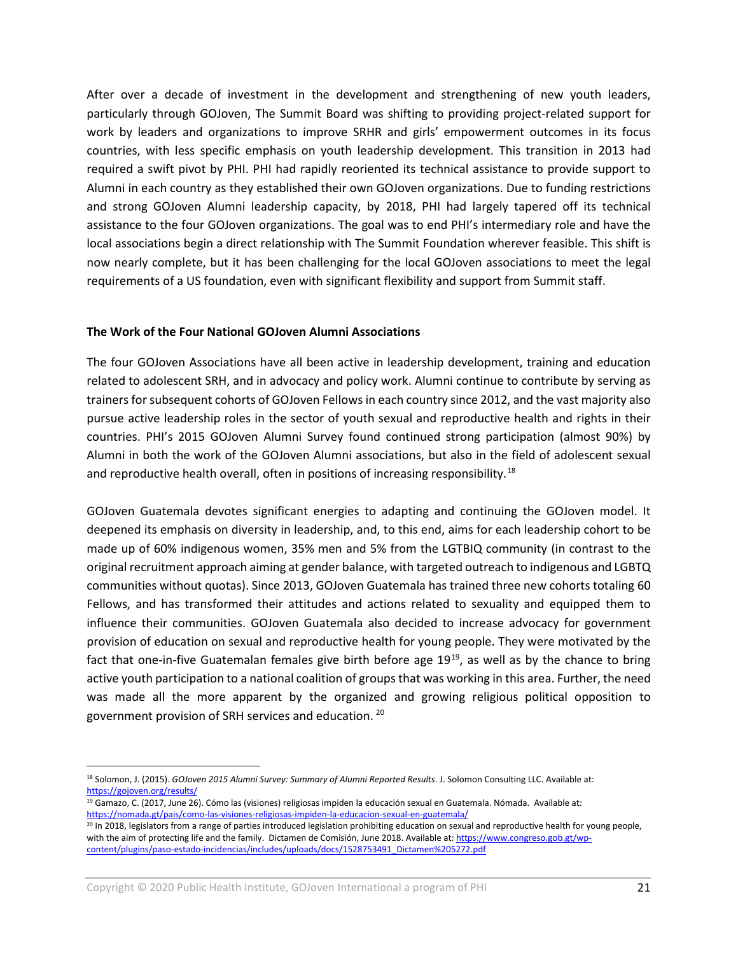After over a decade of investment in the development and strengthening of new youth leaders, particularly through GOJoven, The Summit Board was shifting to providing project-related support for work by leaders and organizations to improve SRHR and girls' empowerment outcomes in its focus countries, with less specific emphasis on youth leadership development. This transition in 2013 had required a swift pivot by PHI. PHI had rapidly reoriented its technical assistance to provide support to Alumni in each country as they established their own GOJoven organizations. Due to funding restrictions and strong GOJoven Alumni leadership capacity, by 2018, PHI had largely tapered off its technical assistance to the four GOJoven organizations. The goal was to end PHI's intermediary role and have the local associations begin a direct relationship with The Summit Foundation wherever feasible. This shift is now nearly complete, but it has been challenging for the local GOJoven associations to meet the legal requirements of a US foundation, even with significant flexibility and support from Summit staff.

#### **The Work of the Four National GOJoven Alumni Associations**

The four GOJoven Associations have all been active in leadership development, training and education related to adolescent SRH, and in advocacy and policy work. Alumni continue to contribute by serving as trainers for subsequent cohorts of GOJoven Fellows in each country since 2012, and the vast majority also pursue active leadership roles in the sector of youth sexual and reproductive health and rights in their countries. PHI's 2015 GOJoven Alumni Survey found continued strong participation (almost 90%) by Alumni in both the work of the GOJoven Alumni associations, but also in the field of adolescent sexual and reproductive health overall, often in positions of increasing responsibility.<sup>[18](#page-20-0)</sup>

GOJoven Guatemala devotes significant energies to adapting and continuing the GOJoven model. It deepened its emphasis on diversity in leadership, and, to this end, aims for each leadership cohort to be made up of 60% indigenous women, 35% men and 5% from the LGTBIQ community (in contrast to the original recruitment approach aiming at gender balance, with targeted outreach to indigenous and LGBTQ communities without quotas). Since 2013, GOJoven Guatemala has trained three new cohorts totaling 60 Fellows, and has transformed their attitudes and actions related to sexuality and equipped them to influence their communities. GOJoven Guatemala also decided to increase advocacy for government provision of education on sexual and reproductive health for young people. They were motivated by the fact that one-in-five Guatemalan females give birth before age  $19^{19}$  $19^{19}$ , as well as by the chance to bring active youth participation to a national coalition of groups that was working in this area. Further, the need was made all the more apparent by the organized and growing religious political opposition to government provision of SRH services and education. [20](#page-20-2)

 $\overline{a}$ 

<span id="page-20-0"></span><sup>&</sup>lt;sup>18</sup> Solomon, J. (2015). *GOJoven 2015 Alumni Survey: Summary of Alumni Reported Results*. J. Solomon Consulting LLC. Available at: <https://gojoven.org/results/>

<span id="page-20-1"></span><sup>&</sup>lt;sup>19</sup> Gamazo, C. (2017, June 26). Cómo las (visiones) religiosas impiden la educación sexual en Guatemala. Nómada. Available at: <https://nomada.gt/pais/como-las-visiones-religiosas-impiden-la-educacion-sexual-en-guatemala/>

<span id="page-20-2"></span><sup>&</sup>lt;sup>20</sup> In 2018, legislators from a range of parties introduced legislation prohibiting education on sexual and reproductive health for young people, with the aim of protecting life and the family. Dictamen de Comisión, June 2018. Available at[: https://www.congreso.gob.gt/wp](https://www.congreso.gob.gt/wp-content/plugins/paso-estado-incidencias/includes/uploads/docs/1528753491_Dictamen%205272.pdf)[content/plugins/paso-estado-incidencias/includes/uploads/docs/1528753491\\_Dictamen%205272.pdf](https://www.congreso.gob.gt/wp-content/plugins/paso-estado-incidencias/includes/uploads/docs/1528753491_Dictamen%205272.pdf)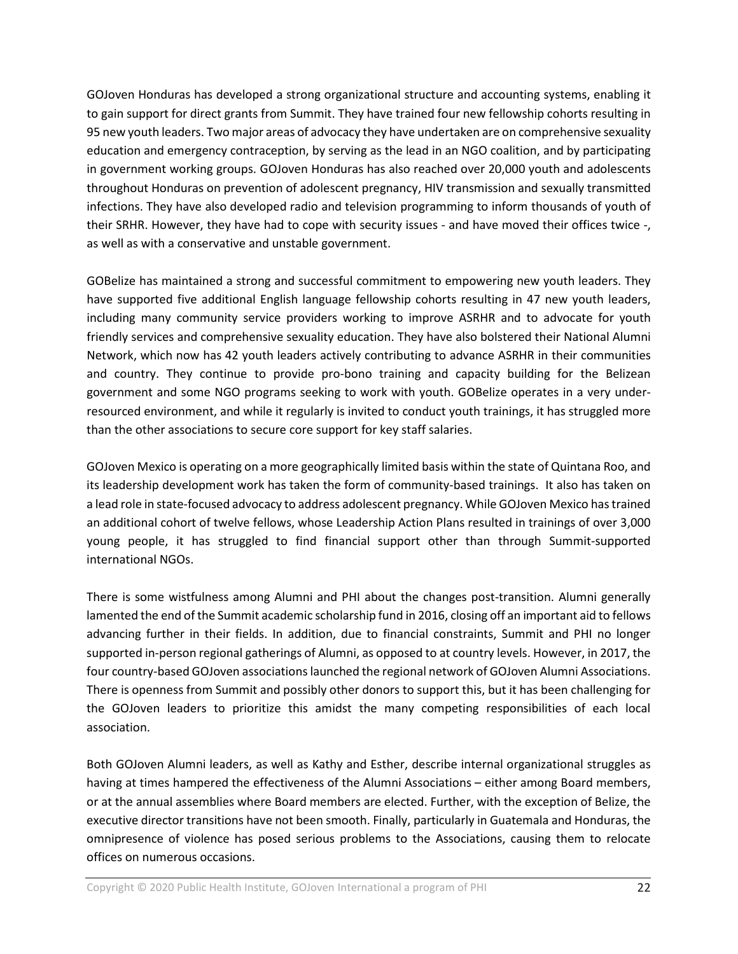GOJoven Honduras has developed a strong organizational structure and accounting systems, enabling it to gain support for direct grants from Summit. They have trained four new fellowship cohorts resulting in 95 new youth leaders. Two major areas of advocacy they have undertaken are on comprehensive sexuality education and emergency contraception, by serving as the lead in an NGO coalition, and by participating in government working groups. GOJoven Honduras has also reached over 20,000 youth and adolescents throughout Honduras on prevention of adolescent pregnancy, HIV transmission and sexually transmitted infections. They have also developed radio and television programming to inform thousands of youth of their SRHR. However, they have had to cope with security issues - and have moved their offices twice -, as well as with a conservative and unstable government.

GOBelize has maintained a strong and successful commitment to empowering new youth leaders. They have supported five additional English language fellowship cohorts resulting in 47 new youth leaders, including many community service providers working to improve ASRHR and to advocate for youth friendly services and comprehensive sexuality education. They have also bolstered their National Alumni Network, which now has 42 youth leaders actively contributing to advance ASRHR in their communities and country. They continue to provide pro-bono training and capacity building for the Belizean government and some NGO programs seeking to work with youth. GOBelize operates in a very underresourced environment, and while it regularly is invited to conduct youth trainings, it has struggled more than the other associations to secure core support for key staff salaries.

GOJoven Mexico is operating on a more geographically limited basis within the state of Quintana Roo, and its leadership development work has taken the form of community-based trainings. It also has taken on a lead role in state-focused advocacy to address adolescent pregnancy. While GOJoven Mexico has trained an additional cohort of twelve fellows, whose Leadership Action Plans resulted in trainings of over 3,000 young people, it has struggled to find financial support other than through Summit-supported international NGOs.

There is some wistfulness among Alumni and PHI about the changes post-transition. Alumni generally lamented the end of the Summit academic scholarship fund in 2016, closing off an important aid to fellows advancing further in their fields. In addition, due to financial constraints, Summit and PHI no longer supported in-person regional gatherings of Alumni, as opposed to at country levels. However, in 2017, the four country-based GOJoven associations launched the regional network of GOJoven Alumni Associations. There is openness from Summit and possibly other donors to support this, but it has been challenging for the GOJoven leaders to prioritize this amidst the many competing responsibilities of each local association.

Both GOJoven Alumni leaders, as well as Kathy and Esther, describe internal organizational struggles as having at times hampered the effectiveness of the Alumni Associations – either among Board members, or at the annual assemblies where Board members are elected. Further, with the exception of Belize, the executive director transitions have not been smooth. Finally, particularly in Guatemala and Honduras, the omnipresence of violence has posed serious problems to the Associations, causing them to relocate offices on numerous occasions.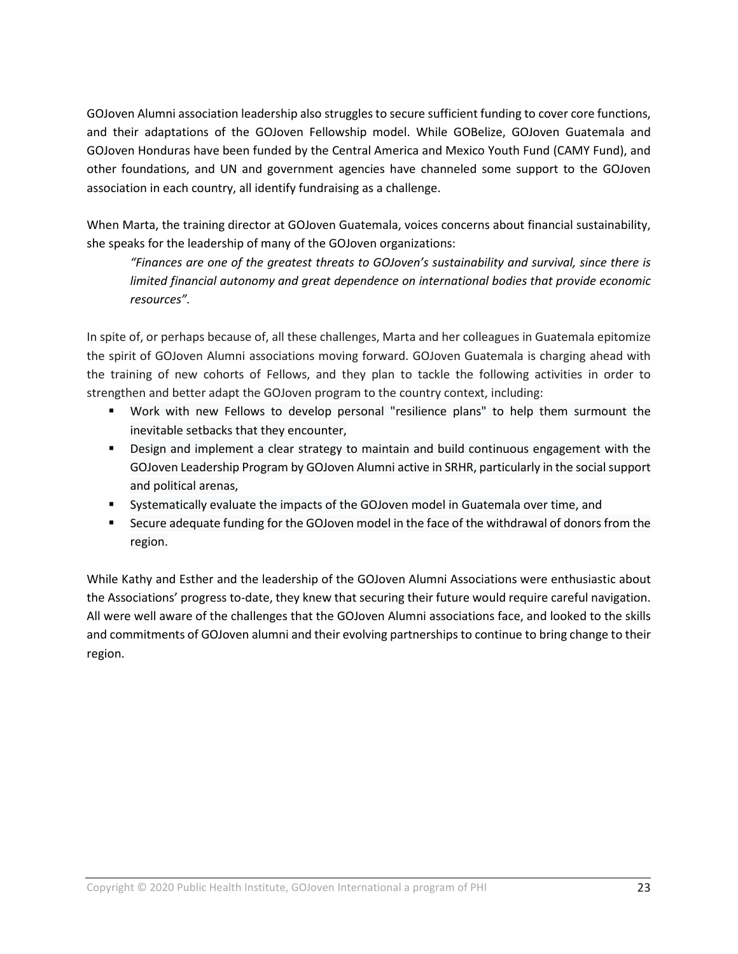GOJoven Alumni association leadership also struggles to secure sufficient funding to cover core functions, and their adaptations of the GOJoven Fellowship model. While GOBelize, GOJoven Guatemala and GOJoven Honduras have been funded by the Central America and Mexico Youth Fund (CAMY Fund), and other foundations, and UN and government agencies have channeled some support to the GOJoven association in each country, all identify fundraising as a challenge.

When Marta, the training director at GOJoven Guatemala, voices concerns about financial sustainability, she speaks for the leadership of many of the GOJoven organizations:

*"Finances are one of the greatest threats to GOJoven's sustainability and survival, since there is limited financial autonomy and great dependence on international bodies that provide economic resources".*

In spite of, or perhaps because of, all these challenges, Marta and her colleagues in Guatemala epitomize the spirit of GOJoven Alumni associations moving forward. GOJoven Guatemala is charging ahead with the training of new cohorts of Fellows, and they plan to tackle the following activities in order to strengthen and better adapt the GOJoven program to the country context, including:

- Work with new Fellows to develop personal "resilience plans" to help them surmount the inevitable setbacks that they encounter,
- **Design and implement a clear strategy to maintain and build continuous engagement with the** GOJoven Leadership Program by GOJoven Alumni active in SRHR, particularly in the social support and political arenas,
- Systematically evaluate the impacts of the GOJoven model in Guatemala over time, and
- **Secure adequate funding for the GOJoven model in the face of the withdrawal of donors from the** region.

While Kathy and Esther and the leadership of the GOJoven Alumni Associations were enthusiastic about the Associations' progress to-date, they knew that securing their future would require careful navigation. All were well aware of the challenges that the GOJoven Alumni associations face, and looked to the skills and commitments of GOJoven alumni and their evolving partnerships to continue to bring change to their region.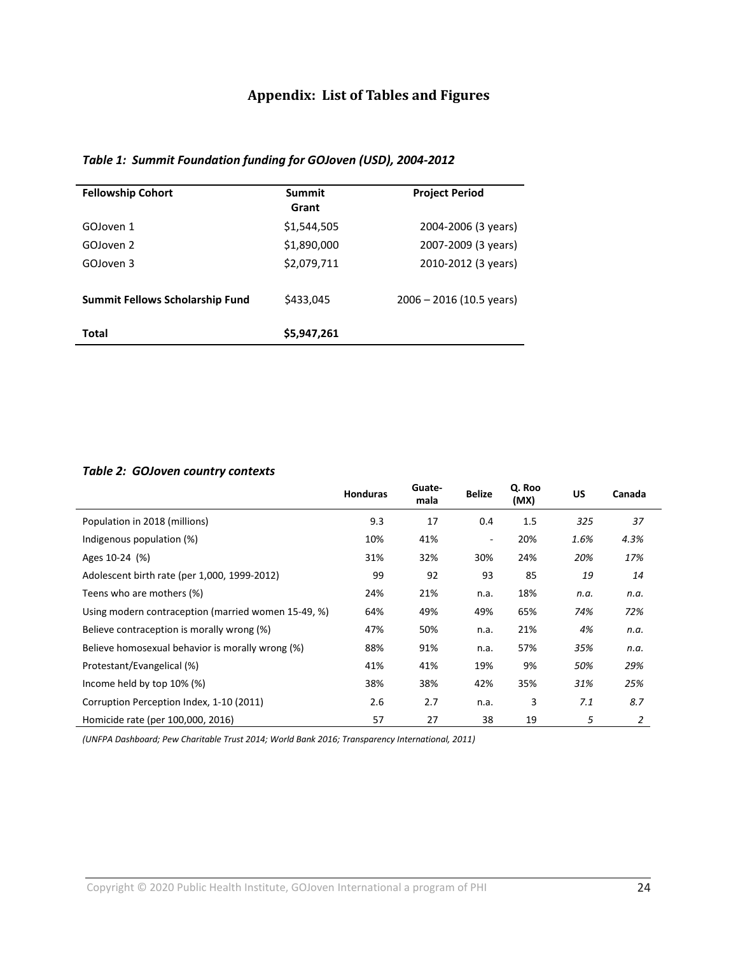# **Appendix: List of Tables and Figures**

# *Table 1: Summit Foundation funding for GOJoven (USD), 2004-2012*

| <b>Fellowship Cohort</b>               | Summit<br>Grant | <b>Project Period</b>      |
|----------------------------------------|-----------------|----------------------------|
| GOIoven 1                              | \$1,544,505     | 2004-2006 (3 years)        |
| GOJoven 2                              | \$1,890,000     | 2007-2009 (3 years)        |
| GOJoven 3                              | \$2,079,711     | 2010-2012 (3 years)        |
| <b>Summit Fellows Scholarship Fund</b> | \$433,045       | $2006 - 2016$ (10.5 years) |
| Total                                  | \$5,947,261     |                            |

## *Table 2: GOJoven country contexts*

|                                                     | <b>Honduras</b> | Guate-<br>mala | <b>Belize</b> | Q. Roo<br>(MX) | US.  | Canada |
|-----------------------------------------------------|-----------------|----------------|---------------|----------------|------|--------|
| Population in 2018 (millions)                       | 9.3             | 17             | 0.4           | 1.5            | 325  | 37     |
| Indigenous population (%)                           | 10%             | 41%            |               | 20%            | 1.6% | 4.3%   |
| Ages 10-24 (%)                                      | 31%             | 32%            | 30%           | 24%            | 20%  | 17%    |
| Adolescent birth rate (per 1,000, 1999-2012)        | 99              | 92             | 93            | 85             | 19   | 14     |
| Teens who are mothers (%)                           | 24%             | 21%            | n.a.          | 18%            | n.a. | n.a.   |
| Using modern contraception (married women 15-49, %) | 64%             | 49%            | 49%           | 65%            | 74%  | 72%    |
| Believe contraception is morally wrong (%)          | 47%             | 50%            | n.a.          | 21%            | 4%   | n.a.   |
| Believe homosexual behavior is morally wrong (%)    | 88%             | 91%            | n.a.          | 57%            | 35%  | n.a.   |
| Protestant/Evangelical (%)                          | 41%             | 41%            | 19%           | 9%             | 50%  | 29%    |
| Income held by top 10% (%)                          | 38%             | 38%            | 42%           | 35%            | 31%  | 25%    |
| Corruption Perception Index, 1-10 (2011)            | 2.6             | 2.7            | n.a.          | 3              | 7.1  | 8.7    |
| Homicide rate (per 100,000, 2016)                   | 57              | 27             | 38            | 19             | 5    | 2      |

*(UNFPA Dashboard; Pew Charitable Trust 2014; World Bank 2016; Transparency International, 2011)*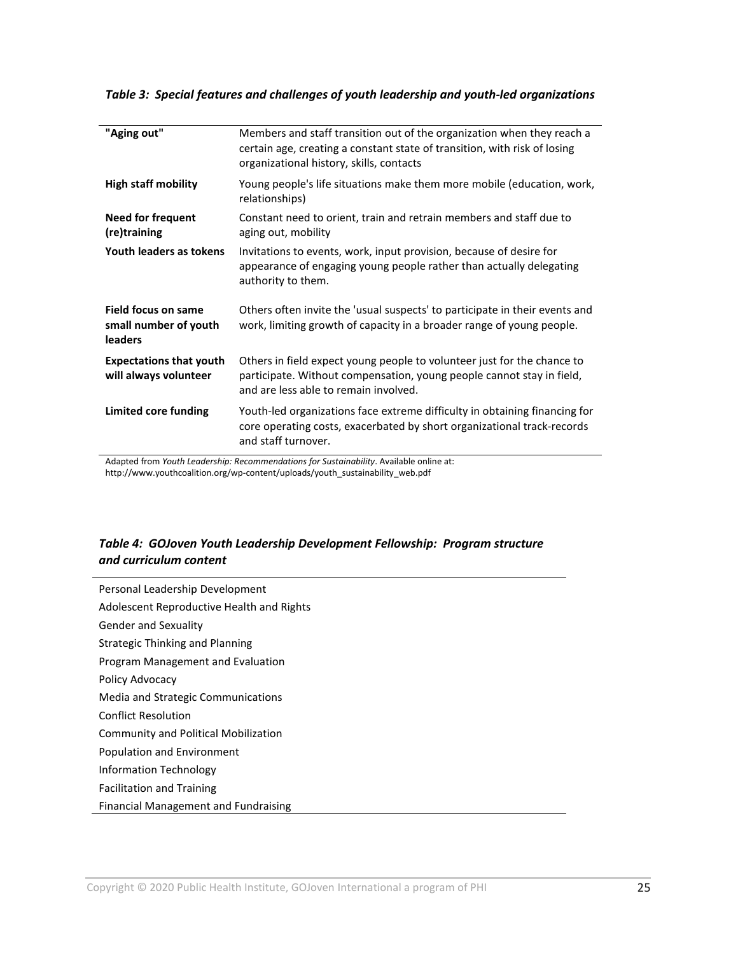| "Aging out"                                                    | Members and staff transition out of the organization when they reach a<br>certain age, creating a constant state of transition, with risk of losing<br>organizational history, skills, contacts |
|----------------------------------------------------------------|-------------------------------------------------------------------------------------------------------------------------------------------------------------------------------------------------|
| <b>High staff mobility</b>                                     | Young people's life situations make them more mobile (education, work,<br>relationships)                                                                                                        |
| Need for frequent<br>(re)training                              | Constant need to orient, train and retrain members and staff due to<br>aging out, mobility                                                                                                      |
| Youth leaders as tokens                                        | Invitations to events, work, input provision, because of desire for<br>appearance of engaging young people rather than actually delegating<br>authority to them.                                |
| <b>Field focus on same</b><br>small number of youth<br>leaders | Others often invite the 'usual suspects' to participate in their events and<br>work, limiting growth of capacity in a broader range of young people.                                            |
| <b>Expectations that youth</b><br>will always volunteer        | Others in field expect young people to volunteer just for the chance to<br>participate. Without compensation, young people cannot stay in field,<br>and are less able to remain involved.       |
| Limited core funding                                           | Youth-led organizations face extreme difficulty in obtaining financing for<br>core operating costs, exacerbated by short organizational track-records<br>and staff turnover.                    |

*Table 3: Special features and challenges of youth leadership and youth-led organizations*

Adapted from *Youth Leadership: Recommendations for Sustainability*. Available online at: http://www.youthcoalition.org/wp-content/uploads/youth\_sustainability\_web.pdf

## *Table 4: GOJoven Youth Leadership Development Fellowship: Program structure and curriculum content*

Personal Leadership Development Adolescent Reproductive Health and Rights Gender and Sexuality Strategic Thinking and Planning Program Management and Evaluation Policy Advocacy Media and Strategic Communications Conflict Resolution Community and Political Mobilization Population and Environment Information Technology Facilitation and Training Financial Management and Fundraising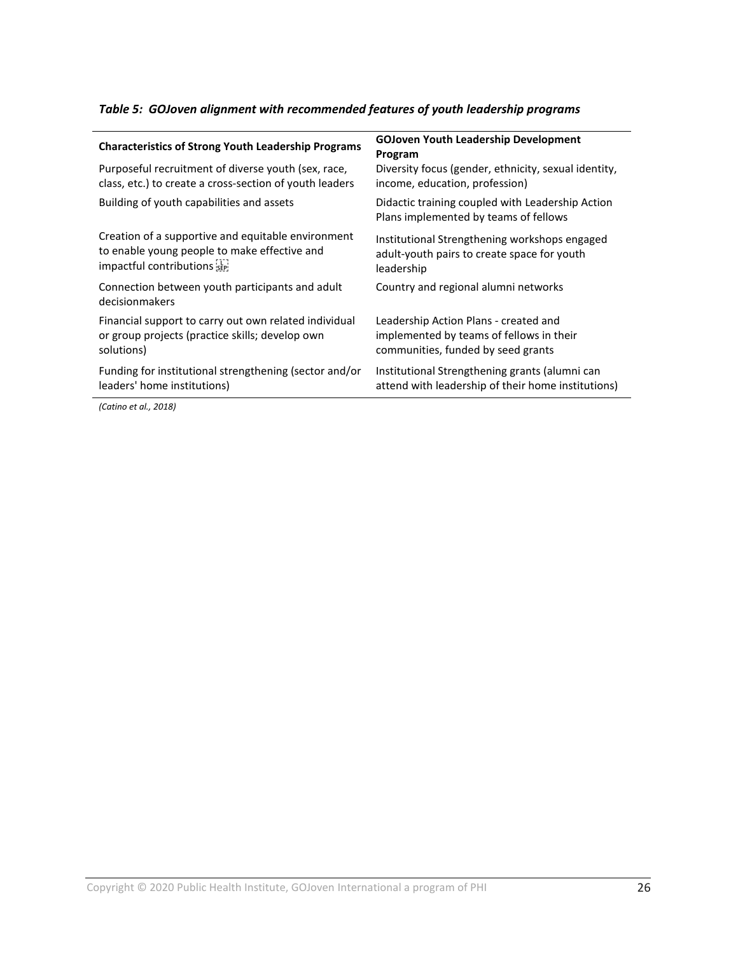# *Table 5: GOJoven alignment with recommended features of youth leadership programs*

| <b>Characteristics of Strong Youth Leadership Programs</b>        | <b>GOJoven Youth Leadership Development</b><br>Program                                    |  |  |
|-------------------------------------------------------------------|-------------------------------------------------------------------------------------------|--|--|
| Purposeful recruitment of diverse youth (sex, race,               | Diversity focus (gender, ethnicity, sexual identity,                                      |  |  |
| class, etc.) to create a cross-section of youth leaders           | income, education, profession)                                                            |  |  |
| Building of youth capabilities and assets                         | Didactic training coupled with Leadership Action<br>Plans implemented by teams of fellows |  |  |
| Creation of a supportive and equitable environment                | Institutional Strengthening workshops engaged                                             |  |  |
| to enable young people to make effective and                      | adult-youth pairs to create space for youth                                               |  |  |
| impactful contributions see                                       | leadership                                                                                |  |  |
| Connection between youth participants and adult<br>decisionmakers | Country and regional alumni networks                                                      |  |  |
| Financial support to carry out own related individual             | Leadership Action Plans - created and                                                     |  |  |
| or group projects (practice skills; develop own                   | implemented by teams of fellows in their                                                  |  |  |
| solutions)                                                        | communities, funded by seed grants                                                        |  |  |
| Funding for institutional strengthening (sector and/or            | Institutional Strengthening grants (alumni can                                            |  |  |
| leaders' home institutions)                                       | attend with leadership of their home institutions)                                        |  |  |
|                                                                   |                                                                                           |  |  |

*(Catino et al., 2018)*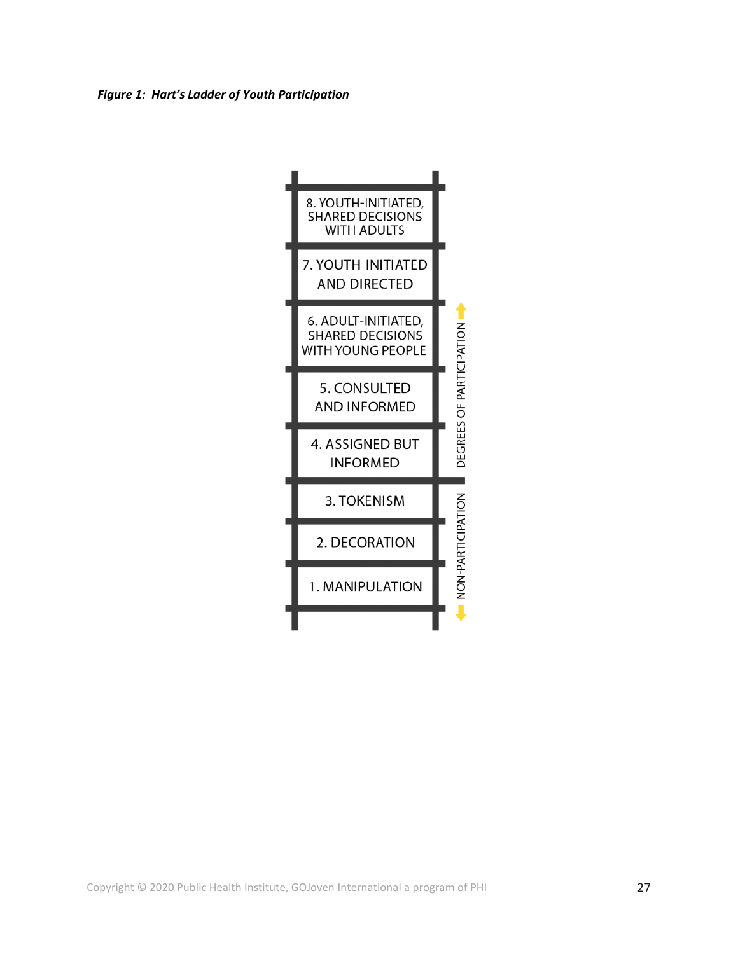*Figure 1: Hart's Ladder of Youth Participation*

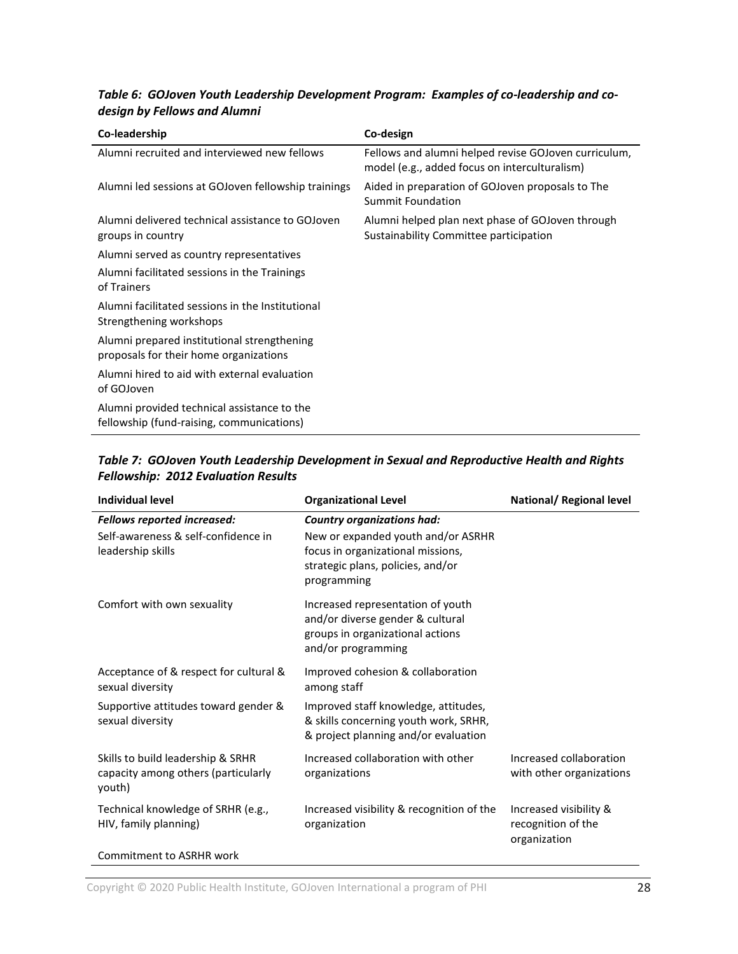# *Table 6: GOJoven Youth Leadership Development Program: Examples of co-leadership and codesign by Fellows and Alumni*

| Co-leadership                                                                            | Co-design                                                                                             |
|------------------------------------------------------------------------------------------|-------------------------------------------------------------------------------------------------------|
| Alumni recruited and interviewed new fellows                                             | Fellows and alumni helped revise GOJoven curriculum,<br>model (e.g., added focus on interculturalism) |
| Alumni led sessions at GOJoven fellowship trainings                                      | Aided in preparation of GOJoven proposals to The<br>Summit Foundation                                 |
| Alumni delivered technical assistance to GOJoven<br>groups in country                    | Alumni helped plan next phase of GOJoven through<br>Sustainability Committee participation            |
| Alumni served as country representatives                                                 |                                                                                                       |
| Alumni facilitated sessions in the Trainings<br>of Trainers                              |                                                                                                       |
| Alumni facilitated sessions in the Institutional<br>Strengthening workshops              |                                                                                                       |
| Alumni prepared institutional strengthening<br>proposals for their home organizations    |                                                                                                       |
| Alumni hired to aid with external evaluation<br>of GOJoven                               |                                                                                                       |
| Alumni provided technical assistance to the<br>fellowship (fund-raising, communications) |                                                                                                       |

## *Table 7: GOJoven Youth Leadership Development in Sexual and Reproductive Health and Rights Fellowship: 2012 Evaluation Results*

| <b>Individual level</b>                                                            | <b>Organizational Level</b>                                                                                                     | <b>National/ Regional level</b>                              |
|------------------------------------------------------------------------------------|---------------------------------------------------------------------------------------------------------------------------------|--------------------------------------------------------------|
| <b>Fellows reported increased:</b>                                                 | <b>Country organizations had:</b>                                                                                               |                                                              |
| Self-awareness & self-confidence in<br>leadership skills                           | New or expanded youth and/or ASRHR<br>focus in organizational missions,<br>strategic plans, policies, and/or<br>programming     |                                                              |
| Comfort with own sexuality                                                         | Increased representation of youth<br>and/or diverse gender & cultural<br>groups in organizational actions<br>and/or programming |                                                              |
| Acceptance of & respect for cultural &<br>sexual diversity                         | Improved cohesion & collaboration<br>among staff                                                                                |                                                              |
| Supportive attitudes toward gender &<br>sexual diversity                           | Improved staff knowledge, attitudes,<br>& skills concerning youth work, SRHR,<br>& project planning and/or evaluation           |                                                              |
| Skills to build leadership & SRHR<br>capacity among others (particularly<br>youth) | Increased collaboration with other<br>organizations                                                                             | Increased collaboration<br>with other organizations          |
| Technical knowledge of SRHR (e.g.,<br>HIV, family planning)                        | Increased visibility & recognition of the<br>organization                                                                       | Increased visibility &<br>recognition of the<br>organization |
| <b>Commitment to ASRHR work</b>                                                    |                                                                                                                                 |                                                              |

Copyright © 2020 Public Health Institute, GOJoven International a program of PHI 28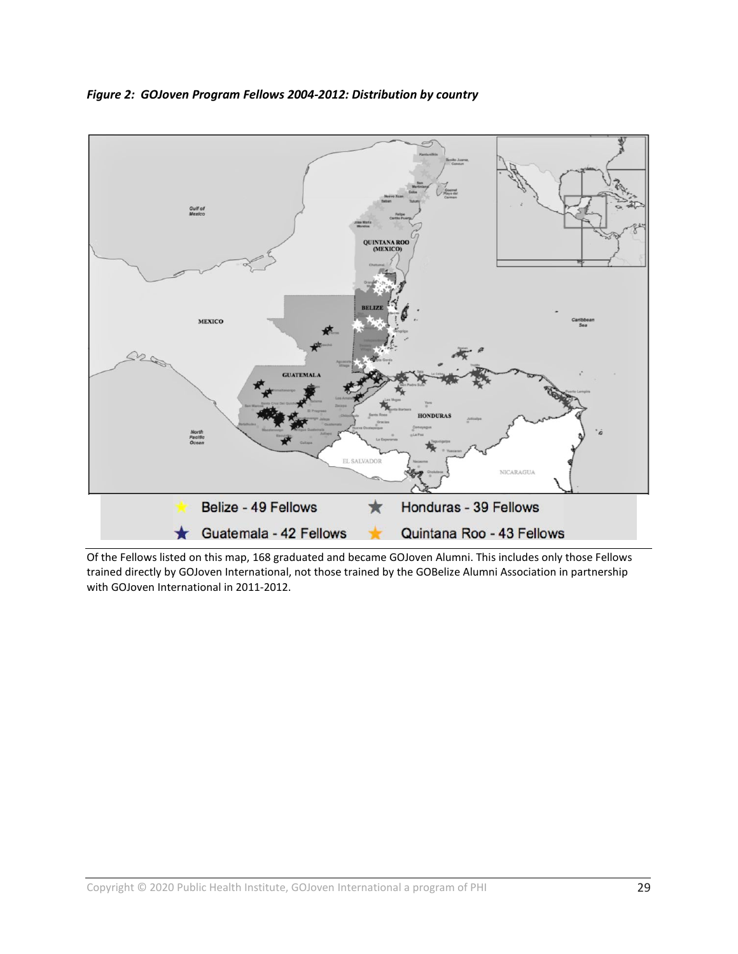

*Figure 2: GOJoven Program Fellows 2004-2012: Distribution by country*

Of the Fellows listed on this map, 168 graduated and became GOJoven Alumni. This includes only those Fellows trained directly by GOJoven International, not those trained by the GOBelize Alumni Association in partnership with GOJoven International in 2011-2012.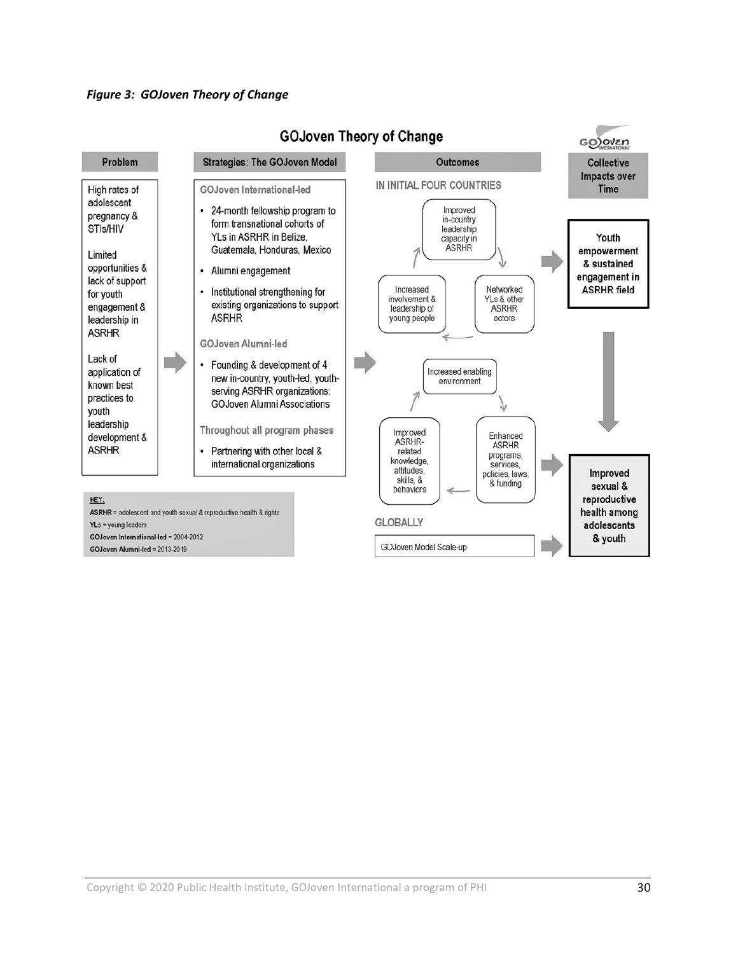#### *Figure 3: GOJoven Theory of Change*



# **GOJoven Theory of Change**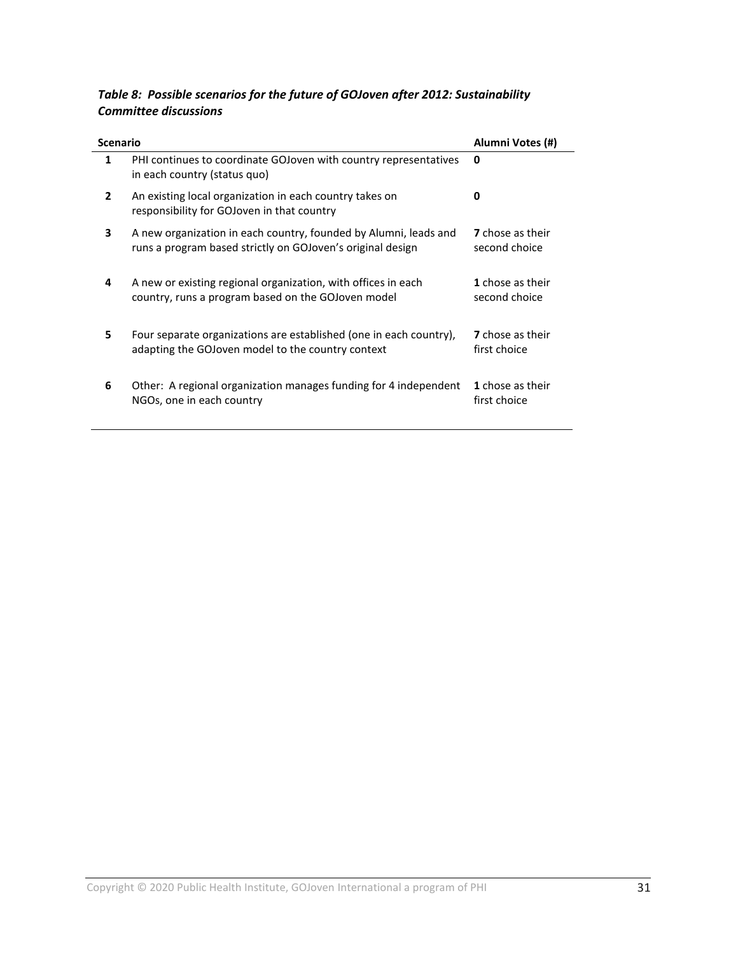# *Table 8: Possible scenarios for the future of GOJoven after 2012: Sustainability Committee discussions*

| <b>Scenario</b> |                                                                                                                                | Alumni Votes (#)                         |
|-----------------|--------------------------------------------------------------------------------------------------------------------------------|------------------------------------------|
| 1               | PHI continues to coordinate GOJoven with country representatives<br>in each country (status quo)                               | 0                                        |
| $\mathbf{2}$    | An existing local organization in each country takes on<br>responsibility for GOJoven in that country                          | <sup>0</sup>                             |
| 3               | A new organization in each country, founded by Alumni, leads and<br>runs a program based strictly on GOJoven's original design | <b>7</b> chose as their<br>second choice |
| 4               | A new or existing regional organization, with offices in each<br>country, runs a program based on the GOJoven model            | 1 chose as their<br>second choice        |
| 5               | Four separate organizations are established (one in each country),<br>adapting the GOJoven model to the country context        | <b>7</b> chose as their<br>first choice  |
| 6               | Other: A regional organization manages funding for 4 independent<br>NGOs, one in each country                                  | 1 chose as their<br>first choice         |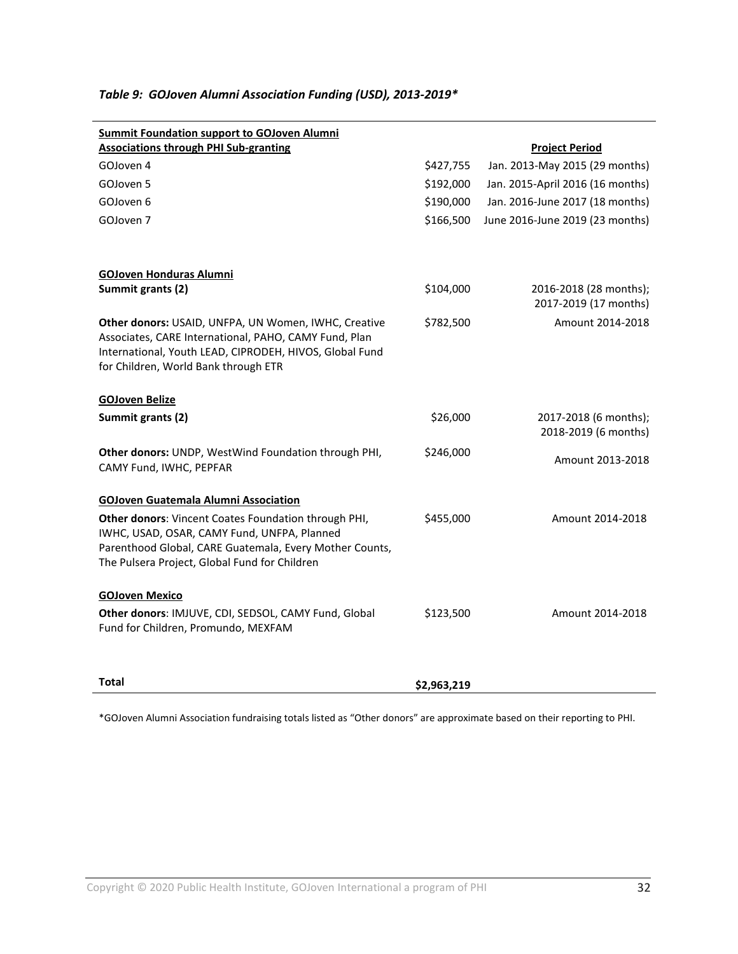| <b>Summit Foundation support to GOJoven Alumni</b>                                                            |           |                                                 |
|---------------------------------------------------------------------------------------------------------------|-----------|-------------------------------------------------|
| <b>Associations through PHI Sub-granting</b>                                                                  |           | <b>Project Period</b>                           |
| GOJoven 4                                                                                                     | \$427,755 | Jan. 2013-May 2015 (29 months)                  |
| GOJoven 5                                                                                                     | \$192,000 | Jan. 2015-April 2016 (16 months)                |
| GOJoven 6                                                                                                     | \$190,000 | Jan. 2016-June 2017 (18 months)                 |
| GOJoven 7                                                                                                     | \$166,500 | June 2016-June 2019 (23 months)                 |
|                                                                                                               |           |                                                 |
| <b>GOJoven Honduras Alumni</b>                                                                                |           |                                                 |
| Summit grants (2)                                                                                             | \$104,000 | 2016-2018 (28 months);<br>2017-2019 (17 months) |
| Other donors: USAID, UNFPA, UN Women, IWHC, Creative<br>Associates, CARE International, PAHO, CAMY Fund, Plan | \$782,500 | Amount 2014-2018                                |
| International, Youth LEAD, CIPRODEH, HIVOS, Global Fund                                                       |           |                                                 |
| for Children, World Bank through ETR                                                                          |           |                                                 |
| <b>GOJoven Belize</b>                                                                                         |           |                                                 |
| Summit grants (2)                                                                                             | \$26,000  | 2017-2018 (6 months);<br>2018-2019 (6 months)   |
| Other donors: UNDP, WestWind Foundation through PHI,<br>CAMY Fund, IWHC, PEPFAR                               | \$246,000 | Amount 2013-2018                                |
|                                                                                                               |           |                                                 |
| <b>GOJoven Guatemala Alumni Association</b>                                                                   |           |                                                 |
| <b>Other donors:</b> Vincent Coates Foundation through PHI,                                                   | \$455,000 | Amount 2014-2018                                |
| IWHC, USAD, OSAR, CAMY Fund, UNFPA, Planned<br>Parenthood Global, CARE Guatemala, Every Mother Counts,        |           |                                                 |
| The Pulsera Project, Global Fund for Children                                                                 |           |                                                 |
| <b>GOJoven Mexico</b>                                                                                         |           |                                                 |
| Other donors: IMJUVE, CDI, SEDSOL, CAMY Fund, Global<br>Fund for Children, Promundo, MEXFAM                   | \$123,500 | Amount 2014-2018                                |
|                                                                                                               |           |                                                 |

## *Table 9: GOJoven Alumni Association Funding (USD), 2013-2019\**

\*GOJoven Alumni Association fundraising totals listed as "Other donors" are approximate based on their reporting to PHI.

**Total \$2,963,219**